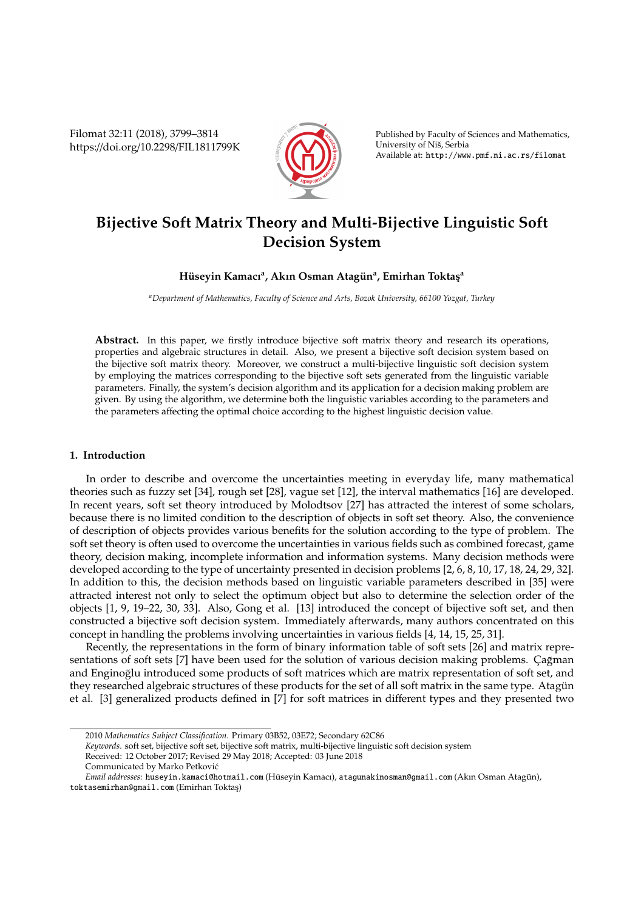Filomat 32:11 (2018), 3799–3814 https://doi.org/10.2298/FIL1811799K



Published by Faculty of Sciences and Mathematics, University of Niš, Serbia Available at: http://www.pmf.ni.ac.rs/filomat

# **Bijective Soft Matrix Theory and Multi-Bijective Linguistic Soft Decision System**

# $H$ üseyin Kamacı<sup>a</sup>, Akın Osman Atagün<sup>a</sup>, Emirhan Toktaş<sup>a</sup>

*<sup>a</sup>Department of Mathematics, Faculty of Science and Arts, Bozok University, 66100 Yozgat, Turkey*

**Abstract.** In this paper, we firstly introduce bijective soft matrix theory and research its operations, properties and algebraic structures in detail. Also, we present a bijective soft decision system based on the bijective soft matrix theory. Moreover, we construct a multi-bijective linguistic soft decision system by employing the matrices corresponding to the bijective soft sets generated from the linguistic variable parameters. Finally, the system's decision algorithm and its application for a decision making problem are given. By using the algorithm, we determine both the linguistic variables according to the parameters and the parameters affecting the optimal choice according to the highest linguistic decision value.

# **1. Introduction**

In order to describe and overcome the uncertainties meeting in everyday life, many mathematical theories such as fuzzy set [34], rough set [28], vague set [12], the interval mathematics [16] are developed. In recent years, soft set theory introduced by Molodtsov [27] has attracted the interest of some scholars, because there is no limited condition to the description of objects in soft set theory. Also, the convenience of description of objects provides various benefits for the solution according to the type of problem. The soft set theory is often used to overcome the uncertainties in various fields such as combined forecast, game theory, decision making, incomplete information and information systems. Many decision methods were developed according to the type of uncertainty presented in decision problems [2, 6, 8, 10, 17, 18, 24, 29, 32]. In addition to this, the decision methods based on linguistic variable parameters described in [35] were attracted interest not only to select the optimum object but also to determine the selection order of the objects [1, 9, 19–22, 30, 33]. Also, Gong et al. [13] introduced the concept of bijective soft set, and then constructed a bijective soft decision system. Immediately afterwards, many authors concentrated on this concept in handling the problems involving uncertainties in various fields [4, 14, 15, 25, 31].

Recently, the representations in the form of binary information table of soft sets [26] and matrix representations of soft sets [7] have been used for the solution of various decision making problems. Çağman and Enginoglu introduced some products of soft matrices which are matrix representation of soft set, and they researched algebraic structures of these products for the set of all soft matrix in the same type. Atagun et al. [3] generalized products defined in [7] for soft matrices in different types and they presented two

- *Keywords*. soft set, bijective soft set, bijective soft matrix, multi-bijective linguistic soft decision system
- Received: 12 October 2017; Revised 29 May 2018; Accepted: 03 June 2018
- Communicated by Marko Petkovic´

<sup>2010</sup> *Mathematics Subject Classification*. Primary 03B52, 03E72; Secondary 62C86

*Email addresses:* huseyin.kamaci@hotmail.com (Hüseyin Kamacı), atagunakinosman@gmail.com (Akın Osman Atagün), toktasemirhan@gmail.com (Emirhan Toktas¸)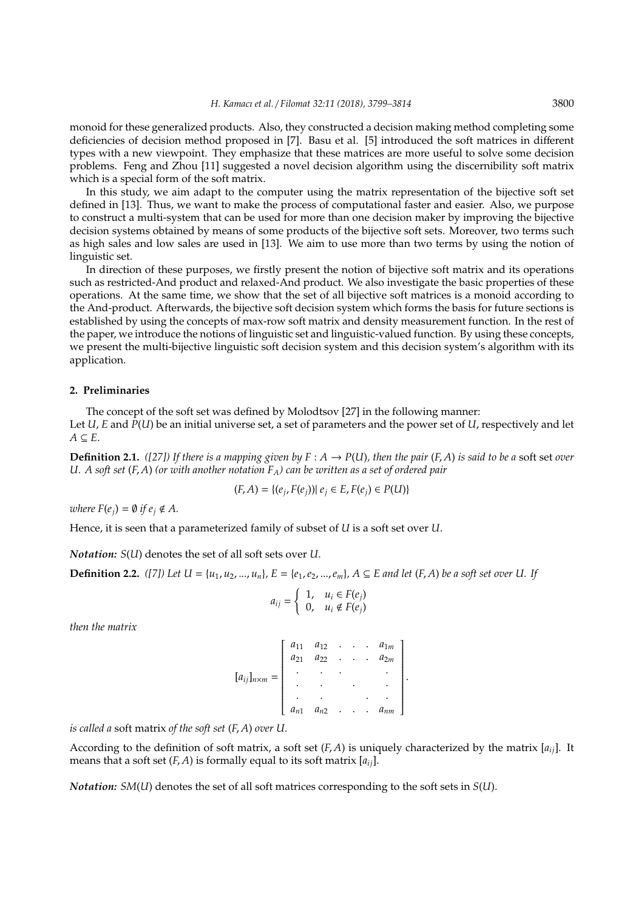monoid for these generalized products. Also, they constructed a decision making method completing some deficiencies of decision method proposed in [7]. Basu et al. [5] introduced the soft matrices in different types with a new viewpoint. They emphasize that these matrices are more useful to solve some decision problems. Feng and Zhou [11] suggested a novel decision algorithm using the discernibility soft matrix which is a special form of the soft matrix.

In this study, we aim adapt to the computer using the matrix representation of the bijective soft set defined in [13]. Thus, we want to make the process of computational faster and easier. Also, we purpose to construct a multi-system that can be used for more than one decision maker by improving the bijective decision systems obtained by means of some products of the bijective soft sets. Moreover, two terms such as high sales and low sales are used in [13]. We aim to use more than two terms by using the notion of linguistic set.

In direction of these purposes, we firstly present the notion of bijective soft matrix and its operations such as restricted-And product and relaxed-And product. We also investigate the basic properties of these operations. At the same time, we show that the set of all bijective soft matrices is a monoid according to the And-product. Afterwards, the bijective soft decision system which forms the basis for future sections is established by using the concepts of max-row soft matrix and density measurement function. In the rest of the paper, we introduce the notions of linguistic set and linguistic-valued function. By using these concepts, we present the multi-bijective linguistic soft decision system and this decision system's algorithm with its application.

#### **2. Preliminaries**

The concept of the soft set was defined by Molodtsov [27] in the following manner: Let *U*, *E* and *P*(*U*) be an initial universe set, a set of parameters and the power set of *U*, respectively and let  $A \subseteq E$ .

**Definition 2.1.** *([27]) If there is a mapping given by*  $F : A \rightarrow P(U)$ *, then the pair*  $(F, A)$  *is said to be a soft set over U. A soft set* (*F*, *A*) *(or with another notation FA) can be written as a set of ordered pair*

$$
(F, A) = \{(e_j, F(e_j)) | e_j \in E, F(e_j) \in P(U)\}\
$$

*where*  $F(e_i) = \emptyset$  *if*  $e_i \notin A$ .

Hence, it is seen that a parameterized family of subset of *U* is a soft set over *U*.

*Notation: S*(*U*) denotes the set of all soft sets over *U*.

**Definition 2.2.** ([7]) Let  $U = \{u_1, u_2, ..., u_n\}$ ,  $E = \{e_1, e_2, ..., e_m\}$ ,  $A \subseteq E$  and let  $(F, A)$  be a soft set over U. If

$$
a_{ij} = \left\{ \begin{array}{ll} 1, & u_i \in F(e_j) \\ 0, & u_i \notin F(e_j) \end{array} \right.
$$

*then the matrix*

|                         |          | $a_{11} \quad a_{12} \quad . \quad .$ |                        |        |                      | $\cdot$ $a_{1m}$ |  |
|-------------------------|----------|---------------------------------------|------------------------|--------|----------------------|------------------|--|
| $[a_{ij}]_{n \times m}$ | $a_{21}$ | $a_{22}$                              | $\ddot{\phantom{a}}$   | $\sim$ | $\ddot{\phantom{0}}$ | $a_{2m}$         |  |
|                         |          |                                       |                        |        |                      |                  |  |
|                         |          |                                       |                        |        |                      |                  |  |
|                         |          |                                       |                        |        |                      |                  |  |
|                         | $a_{n1}$ | $\ensuremath{\mathnormal{a_{n2}}}$    | $\ddot{\phantom{1}}$ . | $\sim$ | $\ddot{\phantom{0}}$ | $a_{nm}$         |  |

*is called a* soft matrix *of the soft set* (*F*, *A*) *over U.*

According to the definition of soft matrix, a soft set (*F*, *A*) is uniquely characterized by the matrix [*aij*]. It means that a soft set  $(F, A)$  is formally equal to its soft matrix  $[a_{ij}]$ .

*Notation: SM*(*U*) denotes the set of all soft matrices corresponding to the soft sets in *S*(*U*).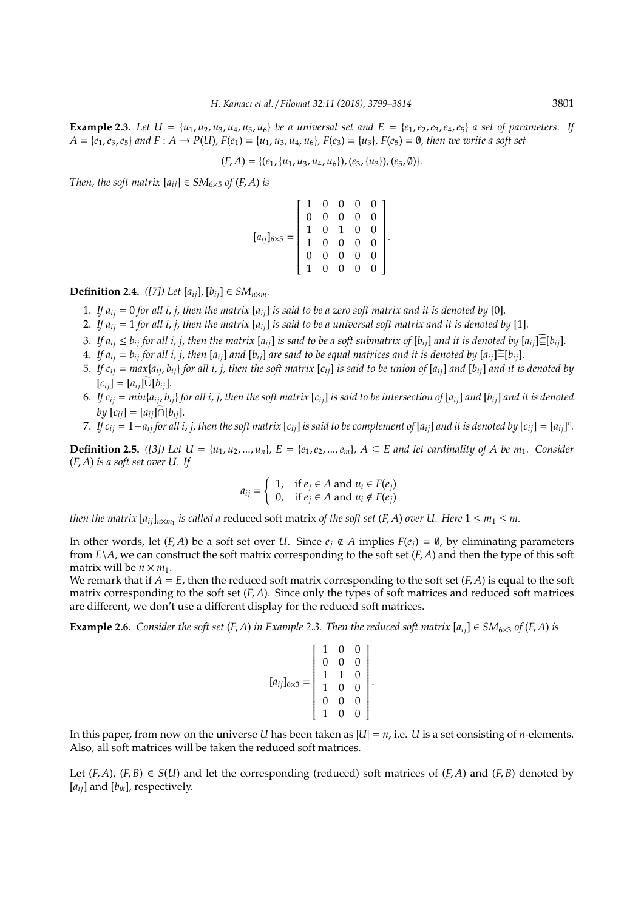**Example 2.3.** Let  $U = \{u_1, u_2, u_3, u_4, u_5, u_6\}$  be a universal set and  $E = \{e_1, e_2, e_3, e_4, e_5\}$  a set of parameters. If  $A = \{e_1, e_3, e_5\}$  and  $F: A \to P(U)$ ,  $F(e_1) = \{u_1, u_3, u_4, u_6\}$ ,  $F(e_3) = \{u_3\}$ ,  $F(e_5) = \emptyset$ , then we write a soft set

$$
(F,A) = \{(e_1, \{u_1, u_3, u_4, u_6\}), (e_3, \{u_3\}), (e_5, \emptyset)\}.
$$

*Then, the soft matrix*  $[a_{ij}] \in SM_{6 \times 5}$  *of*  $(F, A)$  *is* 

$$
[a_{ij}]_{6\times5} = \begin{bmatrix} 1 & 0 & 0 & 0 & 0 \\ 0 & 0 & 0 & 0 & 0 \\ 1 & 0 & 1 & 0 & 0 \\ 1 & 0 & 0 & 0 & 0 \\ 0 & 0 & 0 & 0 & 0 \\ 1 & 0 & 0 & 0 & 0 \end{bmatrix}
$$

.

**Definition 2.4.** *([7]) Let*  $[a_{ij}]$ ,  $[b_{ij}] \in SM_{n \times m}$ *.* 

- 1. If  $a_{ij} = 0$  for all *i*, *j*, then the matrix  $[a_{ij}]$  is said to be a zero soft matrix and it is denoted by [0].
- 2. If  $a_{ij} = 1$  for all *i*, *j*, then the matrix  $[a_{ij}]$  is said to be a universal soft matrix and it is denoted by [1].
- 3. If  $a_{ii} \leq b_{ii}$  for all i, j, then the matrix  $[a_{ii}]$  is said to be a soft submatrix of  $[b_{ii}]$  and it is denoted by  $[a_{ii}] \subseteq [b_{ii}]$ .
- 4. If  $a_{ij} = b_{ij}$  for all i, j, then  $[a_{ij}]$  and  $[b_{ij}]$  are said to be equal matrices and it is denoted by  $[a_{ij}] \equiv [b_{ij}]$ .
- 5. If  $c_{ij} = max\{a_{ij}, b_{ij}\}$  for all i, j, then the soft matrix  $[c_{ij}]$  is said to be union of  $[a_{ij}]$  and  $[b_{ij}]$  and it is denoted by  $[c_{ii}] = [a_{ii}]\widetilde{\cup}[b_{ii}].$
- 6. If  $c_{ii} = min\{a_{ii}, b_{ii}\}$  for all i, j, then the soft matrix  $[c_{ii}]$  is said to be intersection of  $[a_{ii}]$  and  $[b_{ii}]$  and it is denoted *by*  $[c_{ii}] = [a_{ii}] ∩ [b_{ii}]$ .
- 7. If  $c_{ij} = 1 a_{ij}$  for all i, j, then the soft matrix [ $c_{ij}$ ] is said to be complement of [ $a_{ij}$ ] and it is denoted by [ $c_{ij}$ ] = [ $a_{ij}$ ]<sup>c</sup>.

**Definition 2.5.** *((3))* Let  $U = {u_1, u_2, ..., u_n}$ *,*  $E = {e_1, e_2, ..., e_m}$ *,*  $A ⊆ E$  *and let cardinality of A be m*<sub>1</sub>*. Consider* (*F*, *A*) *is a soft set over U. If*

$$
a_{ij} = \begin{cases} 1, & \text{if } e_j \in A \text{ and } u_i \in F(e_j) \\ 0, & \text{if } e_j \in A \text{ and } u_i \notin F(e_j) \end{cases}
$$

*then the matrix*  $[a_{ij}]_{n \times m_1}$  *is called a* reduced soft matrix *of the soft set* (*F*, *A*) *over U. Here*  $1 \le m_1 \le m$ .

In other words, let  $(F, A)$  be a soft set over *U*. Since  $e_i \notin A$  implies  $F(e_i) = \emptyset$ , by eliminating parameters from *E*\*A*, we can construct the soft matrix corresponding to the soft set (*F*, *A*) and then the type of this soft matrix will be  $n \times m_1$ .

We remark that if  $A = E$ , then the reduced soft matrix corresponding to the soft set  $(F, A)$  is equal to the soft matrix corresponding to the soft set  $(F, A)$ . Since only the types of soft matrices and reduced soft matrices are different, we don't use a different display for the reduced soft matrices.

**Example 2.6.** *Consider the soft set* (*F*, *A*) *in Example 2.3. Then the reduced soft matrix*  $[a_{ij}] \in SM_{6\times3}$  *of* (*F*, *A*) *is* 

$$
[a_{ij}]_{6\times3} = \begin{bmatrix} 1 & 0 & 0 \\ 0 & 0 & 0 \\ 1 & 1 & 0 \\ 1 & 0 & 0 \\ 0 & 0 & 0 \\ 1 & 0 & 0 \end{bmatrix}
$$

.

In this paper, from now on the universe *U* has been taken as  $|U| = n$ , i.e. *U* is a set consisting of *n*-elements. Also, all soft matrices will be taken the reduced soft matrices.

Let  $(F, A)$ ,  $(F, B) \in S(U)$  and let the corresponding (reduced) soft matrices of  $(F, A)$  and  $(F, B)$  denoted by  $[a_{ij}]$  and  $[b_{ik}]$ , respectively.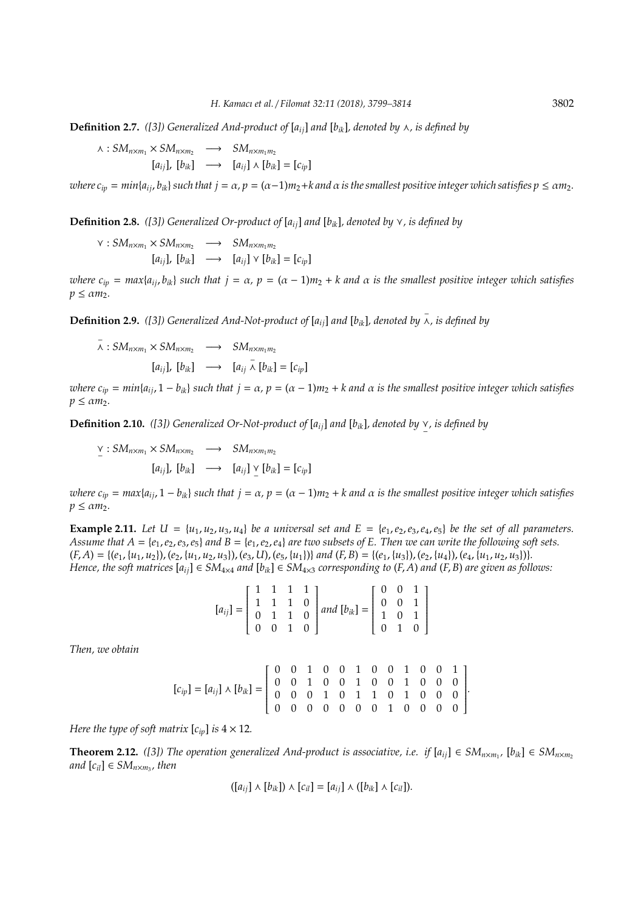**Definition 2.7.** ([3]) Generalized And-product of  $[a_{ii}]$  and  $[b_{ik}]$ , denoted by  $\wedge$ , is defined by

 $\lambda$ :  $SM_{n \times m_1} \times SM_{n \times m_2} \longrightarrow SM_{n \times m_1 m_2}$  $[a_{ii}]$ ,  $[b_{ik}] \longrightarrow [a_{ii}] \wedge [b_{ik}] = [c_{iv}]$ 

*where*  $c_{ip} = min\{a_{ij}, b_{ik}\}$  such that  $j = \alpha$ ,  $p = (\alpha - 1)m_2 + k$  and  $\alpha$  is the smallest positive integer which satisfies  $p \le \alpha m_2$ .

**Definition 2.8.** *([3]) Generalized Or-product of*  $[a_{ii}]$  *and*  $[b_{ik}]$ *, denoted by*  $\vee$ *, is defined by* 

 $\vee$  :  $SM_{n \times m_1} \times SM_{n \times m_2} \longrightarrow SM_{n \times m_1 m_2}$  $[a_{ii}]$ ,  $[b_{ik}] \longrightarrow [a_{ii}] \vee [b_{ik}] = [c_{in}]$ 

*where*  $c_{ip} = max\{a_{ij}, b_{ik}\}$  *such that*  $j = \alpha$ ,  $p = (\alpha - 1)m_2 + k$  *and*  $\alpha$  *is the smallest positive integer which satisfies*  $p \leq \alpha m_2$ .

**Definition 2.9.** *([3]) Generalized And-Not-product of* [*aij*] *and* [*bik*]*, denoted by* − f*, is defined by*

$$
\bar{\lambda}: SM_{n \times m_1} \times SM_{n \times m_2} \longrightarrow SM_{n \times m_1 m_2}
$$
  
\n
$$
[a_{ij}], [b_{ik}] \longrightarrow [a_{ij} \bar{\lambda} [b_{ik}] = [c_{ip}]
$$

*where*  $c_{ip} = min\{a_{ij}, 1 - b_{ik}\}$  *such that*  $j = \alpha$ ,  $p = (\alpha - 1)m_2 + k$  *and*  $\alpha$  *is the smallest positive integer which satisfies*  $p \leq \alpha m_2$ .

**Definition 2.10.** *([3])* Generalized Or-Not-product of  $[a_{ij}]$  and  $[b_{ik}]$ , denoted by  $\vee$ , is defined by

 $\sum_{i=1}^{n}$  :  $SM_{n \times m_1} \times SM_{n \times m_2} \longrightarrow SM_{n \times m_1 m_2}$  $[a_{ij}]$ ,  $[b_{ik}] \longrightarrow [a_{ij}] \vee [b_{ik}] = [c_{ip}]$ 

*where*  $c_{ip} = max\{a_{ij}, 1 - b_{ik}\}$  *such that*  $j = \alpha$ ,  $p = (\alpha - 1)m_2 + k$  *and*  $\alpha$  *is the smallest positive integer which satisfies*  $p \leq \alpha m_2$ .

**Example 2.11.** Let  $U = \{u_1, u_2, u_3, u_4\}$  be a universal set and  $E = \{e_1, e_2, e_3, e_4, e_5\}$  be the set of all parameters. *Assume that*  $A = \{e_1, e_2, e_3, e_5\}$  *and*  $B = \{e_1, e_2, e_4\}$  *are two subsets of E. Then we can write the following soft sets.*  $(F, A) = \{(e_1, \{u_1, u_2\}), (e_2, \{u_1, u_2, u_3\}), (e_3, U), (e_5, \{u_1\})\}$  and  $(F, B) = \{(e_1, \{u_3\}), (e_2, \{u_4\}), (e_4, \{u_1, u_2, u_3\})\}.$ *Hence, the soft matrices*  $[a_{ij}] \in SM_{4\times4}$  *and*  $[b_{ik}] \in SM_{4\times3}$  *corresponding to*  $(F, A)$  *and*  $(F, B)$  *are given as follows:* 

| $\left[ a_{ij} \right] = \left[ \begin{array}{cccc} 1 & 1 & 1 & 1 \\ 1 & 1 & 1 & 0 \\ 0 & 1 & 1 & 0 \\ 0 & 0 & 1 & 0 \end{array} \right] and \left[ b_{ik} \right] = \left[ \begin{array}{cccc} 0 & 0 & 1 \\ 0 & 0 & 1 \\ 1 & 0 & 1 \\ 0 & 1 & 0 \end{array} \right]$ |  |  |  |  |
|-----------------------------------------------------------------------------------------------------------------------------------------------------------------------------------------------------------------------------------------------------------------------|--|--|--|--|
|                                                                                                                                                                                                                                                                       |  |  |  |  |
|                                                                                                                                                                                                                                                                       |  |  |  |  |

*Then, we obtain*

$$
[c_{ip}] = [a_{ij}] \wedge [b_{ik}] = \begin{bmatrix} 0 & 0 & 1 & 0 & 0 & 1 & 0 & 0 & 1 & 0 & 0 & 1 \\ 0 & 0 & 1 & 0 & 0 & 1 & 0 & 0 & 1 & 0 & 0 & 0 \\ 0 & 0 & 0 & 1 & 0 & 1 & 1 & 0 & 1 & 0 & 0 & 0 \\ 0 & 0 & 0 & 0 & 0 & 0 & 0 & 1 & 0 & 0 & 0 & 0 \end{bmatrix}.
$$

*Here the type of soft matrix*  $[c_{in}]$  *is*  $4 \times 12$ *.* 

**Theorem 2.12.** *([3])* The operation generalized And-product is associative, i.e. if  $[a_{ij}] \in SM_{n \times m_1}$ ,  $[b_{ik}] \in SM_{n \times m_2}$  $and$   $[c_{il}] \in SM_{n \times m_3}$ , then

$$
([a_{ij}] \wedge [b_{ik}]) \wedge [c_{il}] = [a_{ij}] \wedge ([b_{ik}] \wedge [c_{il}]).
$$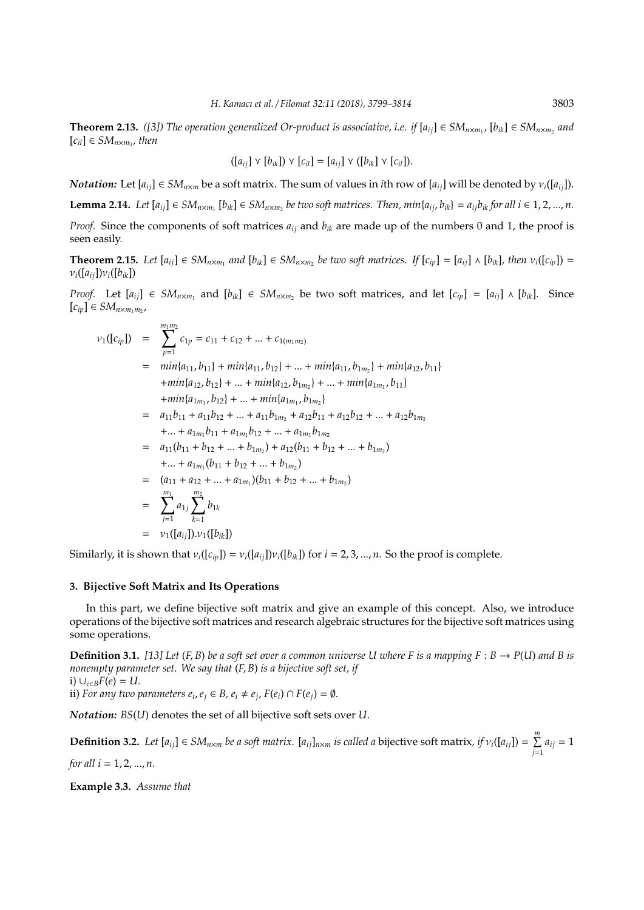**Theorem 2.13.** ([3]) The operation generalized Or-product is associative, i.e. if  $[a_{ij}] \in SM_{n \times m_1}$ ,  $[b_{ik}] \in SM_{n \times m_2}$  and  $[c_{il}] \in SM_{n \times m_3}$ , then

$$
([a_{ij}] \vee [b_{ik}]) \vee [c_{il}] = [a_{ij}] \vee ([b_{ik}] \vee [c_{il}]).
$$

*Notation:* Let  $[a_{ij}] \in SM_{n \times m}$  be a soft matrix. The sum of values in *i*th row of  $[a_{ij}]$  will be denoted by  $v_i([a_{ij}])$ .

**Lemma 2.14.** Let  $[a_{ij}] \in SM_{n \times m_1}$   $[b_{ik}] \in SM_{n \times m_2}$  be two soft matrices. Then,  $min\{a_{ij}, b_{ik}\} = a_{ij}b_{ik}$  for all  $i \in 1, 2, ..., n$ . *Proof.* Since the components of soft matrices *aij* and *bik* are made up of the numbers 0 and 1, the proof is seen easily.

**Theorem 2.15.** Let  $[a_{ij}] \in SM_{n \times m_1}$  and  $[b_{ik}] \in SM_{n \times m_2}$  be two soft matrices. If  $[c_{ip}] = [a_{ij}] \wedge [b_{ik}]$ , then  $v_i([c_{ip}]) =$  $v_i([a_{ij}])v_i([b_{ik}])$ 

*Proof.* Let  $[a_{ij}]$  ∈ *SM*<sub>*n*×*m*<sub>1</sub></sub> and  $[b_{ik}]$  ∈ *SM*<sub>*n*×*m*<sub>2</sub></sub> be two soft matrices, and let  $[c_{ip}] = [a_{ij}] \wedge [b_{ik}]$ . Since [*cip*] ∈ *SMn*×*m*1*m*<sup>2</sup> ,

$$
\nu_1([c_{ip}]) = \sum_{p=1}^{m_1 m_2} c_{1p} = c_{11} + c_{12} + ... + c_{1(m_1 m_2)}
$$
  
\n
$$
= min\{a_{11}, b_{11}\} + min\{a_{11}, b_{12}\} + ... + min\{a_{11}, b_{1m_2}\} + min\{a_{12}, b_{11}\}
$$
  
\n
$$
+ min\{a_{12}, b_{12}\} + ... + min\{a_{12}, b_{1m_2}\} + ... + min\{a_{1m_1}, b_{11}\}
$$
  
\n
$$
+ min\{a_{1m_1}, b_{12}\} + ... + min\{a_{1m_1}, b_{1m_2}\}
$$
  
\n
$$
= a_{11}b_{11} + a_{11}b_{12} + ... + a_{11}b_{1m_2} + a_{12}b_{11} + a_{12}b_{12} + ... + a_{12}b_{1m_2}
$$
  
\n
$$
+ ... + a_{1m_1}b_{11} + a_{1m_1}b_{12} + ... + a_{1m_1}b_{1m_2}
$$
  
\n
$$
= a_{11}(b_{11} + b_{12} + ... + b_{1m_2}) + a_{12}(b_{11} + b_{12} + ... + b_{1m_2})
$$
  
\n
$$
+ ... + a_{1m_1}(b_{11} + b_{12} + ... + b_{1m_2})
$$
  
\n
$$
= (a_{11} + a_{12} + ... + a_{1m_1})(b_{11} + b_{12} + ... + b_{1m_2})
$$
  
\n
$$
= \sum_{j=1}^{m_1} a_{1j} \sum_{k=1}^{m_2} b_{1k}
$$
  
\n
$$
= \nu_1([a_{ij}]).\nu_1([b_{ik}])
$$

Similarly, it is shown that  $v_i([c_{ip}]) = v_i([a_{ij}])v_i([b_{ik}])$  for  $i = 2, 3, ..., n$ . So the proof is complete.

# **3. Bijective Soft Matrix and Its Operations**

In this part, we define bijective soft matrix and give an example of this concept. Also, we introduce operations of the bijective soft matrices and research algebraic structures for the bijective soft matrices using some operations.

**Definition 3.1.** [13] Let  $(F, B)$  be a soft set over a common universe U where F is a mapping  $F : B \to P(U)$  and B is *nonempty parameter set. We say that* (*F*, *B*) *is a bijective soft set, if* i)  $∪_{e∈B}F(e) = U$ .

ii) *For any two parameters*  $e_i$ *,*  $e_j \in B$ *,*  $e_i \neq e_j$ *,*  $F(e_i) \cap F(e_j) = \emptyset$ *.* 

*Notation: BS*(*U*) denotes the set of all bijective soft sets over *U*.

**Definition 3.2.** Let  $[a_{ij}] \in SM_{n \times m}$  be a soft matrix.  $[a_{ij}]_{n \times m}$  is called a bijective soft matrix, if  $v_i([a_{ij}]) = \sum_{i=1}^m$  $\sum_{j=1} a_{ij} = 1$ *for all i* = 1, 2, ..., *n*.

**Example 3.3.** *Assume that*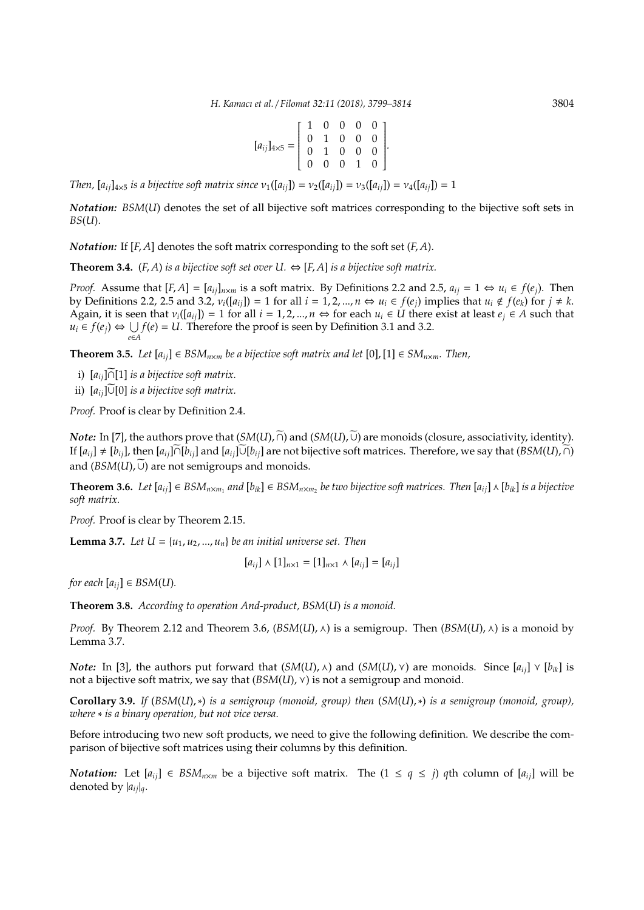$$
[a_{ij}]_{4\times5} = \left[\begin{array}{cccc} 1 & 0 & 0 & 0 & 0 \\ 0 & 1 & 0 & 0 & 0 \\ 0 & 1 & 0 & 0 & 0 \\ 0 & 0 & 0 & 1 & 0 \end{array}\right].
$$

*Then,*  $[a_{ii}]_{4\times5}$  *is a bijective soft matrix since*  $v_1([a_{ii}]) = v_2([a_{ii}]) = v_3([a_{ii}]) = v_4([a_{ii}]) = 1$ 

*Notation: BSM*(*U*) denotes the set of all bijective soft matrices corresponding to the bijective soft sets in *BS*(*U*).

*Notation:* If [*F*, *A*] denotes the soft matrix corresponding to the soft set (*F*, *A*).

**Theorem 3.4.** (*F, A*) *is a bijective soft set over U.*  $\Leftrightarrow$  [*F, A*] *is a bijective soft matrix.* 

*Proof.* Assume that  $[F, A] = [a_{ij}]_{n \times m}$  is a soft matrix. By Definitions 2.2 and 2.5,  $a_{ij} = 1 \Leftrightarrow u_i \in f(e_i)$ . Then by Definitions 2.2, 2.5 and 3.2,  $v_i([a_{ij}]) = 1$  for all  $i = 1, 2, ..., n \Leftrightarrow u_i \in f(e_i)$  implies that  $u_i \notin f(e_k)$  for  $j \neq k$ . Again, it is seen that  $v_i([a_{ij}]) = 1$  for all  $i = 1, 2, ..., n \Leftrightarrow$  for each  $u_i \in U$  there exist at least  $e_i \in A$  such that  $u_i$  ∈  $f(e_j)$  ⇔ ∪ *e*∈*A f*(*e*) = *U*. Therefore the proof is seen by Definition 3.1 and 3.2.

**Theorem 3.5.** *Let*  $[a_{ij}]$  ∈ *BSM*<sub>*n×m*</sub> *be a bijective soft matrix and let*  $[0]$ ,  $[1]$  ∈ *SM*<sub>*n×m*</sub>. *Then*,

- i)  $[a_{ij}]$ ∩[1] *is a bijective soft matrix.*
- ii)  $[a_{ij}]$ ∪[0] *is a bijective soft matrix.*

*Proof.* Proof is clear by Definition 2.4.

*Note:* In [7], the authors prove that  $(SM(U), \tilde{\cap})$  and  $(SM(U), \tilde{\cup})$  are monoids (closure, associativity, identity). If  $[a_{ij}] ≠ [b_{ij}]$ , then  $[a_{ij}] \cap [b_{ij}]$  and  $[a_{ij}] \cup [b_{ij}]$  are not bijective soft matrices. Therefore, we say that  $(BSM(U), \cap)$ and  $(BSM(U), \widetilde{\cup})$  are not semigroups and monoids.

**Theorem 3.6.** Let  $[a_{ij}] \in BSM_{n \times m_1}$  and  $[b_{ik}] \in BSM_{n \times m_2}$  be two bijective soft matrices. Then  $[a_{ij}] \wedge [b_{ik}]$  is a bijective *soft matrix.*

*Proof.* Proof is clear by Theorem 2.15.

**Lemma 3.7.** Let  $U = \{u_1, u_2, ..., u_n\}$  be an initial universe set. Then

$$
[a_{ij}] \wedge [1]_{n \times 1} = [1]_{n \times 1} \wedge [a_{ij}] = [a_{ij}]
$$

*for each*  $[a_{ij}] \in BSM(U)$ *.* 

**Theorem 3.8.** *According to operation And-product, BSM*(*U*) *is a monoid.*

*Proof.* By Theorem 2.12 and Theorem 3.6,  $(BSM(U), \wedge)$  is a semigroup. Then  $(BSM(U), \wedge)$  is a monoid by Lemma 3.7.

*Note:* In [3], the authors put forward that  $(SM(U), \wedge)$  and  $(SM(U), \vee)$  are monoids. Since  $[a_{ij}] \vee [b_{ik}]$  is not a bijective soft matrix, we say that  $(BSM(U),\vee)$  is not a semigroup and monoid.

**Corollary 3.9.** *If* (*BSM*(*U*),∗) *is a semigroup (monoid, group) then* (*SM*(*U*),∗) *is a semigroup (monoid, group), where* ∗ *is a binary operation, but not vice versa.*

Before introducing two new soft products, we need to give the following definition. We describe the comparison of bijective soft matrices using their columns by this definition.

*Notation:* Let  $[a_{ij}] \in BSM_{n \times m}$  be a bijective soft matrix. The  $(1 \leq q \leq j)$  *q*th column of  $[a_{ij}]$  will be denoted by |*aij*|*q*.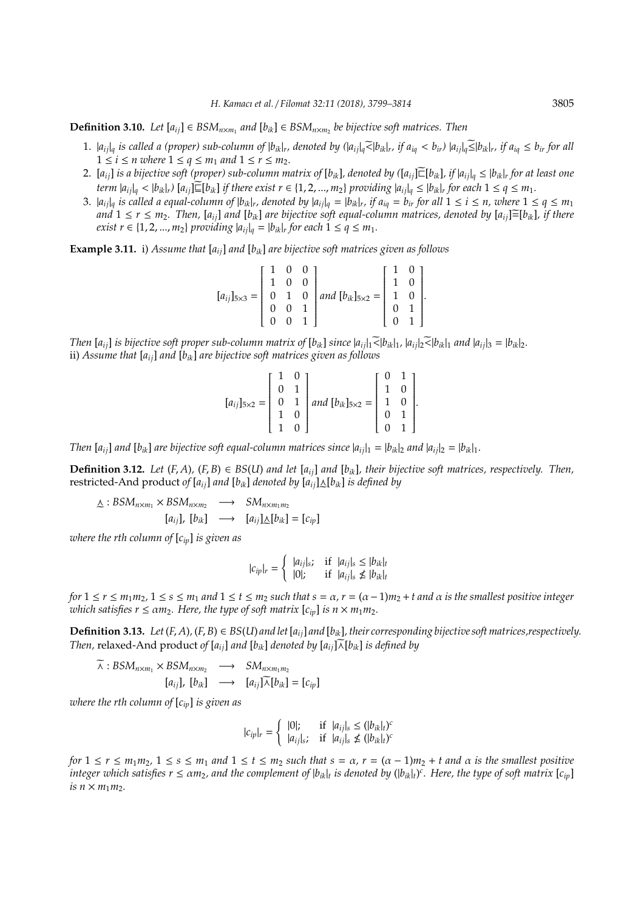**Definition 3.10.** *Let*  $[a_{ij}]$  ∈ *BSM*<sub>*n*×*m*<sub>1</sub></sub> *and*  $[b_{ik}]$  ∈ *BSM*<sub>*n*×*m*<sub>2</sub></sub> *be bijective soft matrices. Then* 

- 1.  $|a_{ij}|_q$  is called a (proper) sub-column of  $|b_{ik}|_r$ , denoted by  $(|a_{ij}|_q \leq |b_{ik}|_r$ , if  $a_{iq} < b_{ir}$ )  $|a_{ij}|_q \leq |b_{ik}|_r$ , if  $a_{iq} \leq b_{ir}$  for all  $1 \leq i \leq n$  where  $1 \leq q \leq m_1$  and  $1 \leq r \leq m_2$ .
- 2.  $[a_{ij}]$  is a bijective soft (proper) sub-column matrix of  $[b_{ik}]$ , denoted by  $([a_{ij}] \widetilde{\sqsubset} [b_{ik}]$ , if  $|a_{ij}|_q \leq |b_{ik}|$ , for at least one term  $|a_{ij}|_q < |b_{ik}|_r$ )  $[a_{ij}] \sqsubseteq [b_{ik}]$  if there exist  $r \in \{1, 2, ..., m_2\}$  providing  $|a_{ij}|_q \le |b_{ik}|_r$  for each  $1 \le q \le m_1$ .
- 3.  $|a_{ij}|_q$  is called a equal-column of  $|b_{ik}|_r$ , denoted by  $|a_{ij}|_q = |b_{ik}|_r$ , if  $a_{iq} = b_{ir}$  for all  $1 \le i \le n$ , where  $1 \le q \le m_1$ *and*  $1 \leq r \leq m_2$ . Then,  $[a_{ij}]$  and  $[b_{ik}]$  are bijective soft equal-column matrices, denoted by  $[a_{ij}] \equiv [b_{ik}]$ *, if there exist r* ∈ {1, 2, ..., *m*<sub>2</sub>} *providing*  $|a_{ij}|_q = |b_{ik}|$ *r for each* 1 ≤ *q* ≤ *m*<sub>1</sub>.

**Example 3.11.** i) *Assume that* [*aij*] *and* [*bik*] *are bijective soft matrices given as follows*

$$
[a_{ij}]_{5\times3} = \begin{bmatrix} 1 & 0 & 0 \\ 1 & 0 & 0 \\ 0 & 1 & 0 \\ 0 & 0 & 1 \\ 0 & 0 & 1 \end{bmatrix} and [b_{ik}]_{5\times2} = \begin{bmatrix} 1 & 0 \\ 1 & 0 \\ 1 & 0 \\ 0 & 1 \\ 0 & 1 \end{bmatrix}.
$$

Then  $[a_{ij}]$  is bijective soft proper sub-column matrix of  $[b_{ik}]$  since  $|a_{ij}|_1 \leq |b_{ik}|_1$ ,  $|a_{ij}|_2 \leq |b_{ik}|_1$  and  $|a_{ij}|_3 = |b_{ik}|_2$ . ii) *Assume that* [*aij*] *and* [*bik*] *are bijective soft matrices given as follows*

$$
[a_{ij}]_{5\times 2} = \begin{bmatrix} 1 & 0 \\ 0 & 1 \\ 0 & 1 \\ 1 & 0 \\ 1 & 0 \end{bmatrix} and [b_{ik}]_{5\times 2} = \begin{bmatrix} 0 & 1 \\ 1 & 0 \\ 1 & 0 \\ 0 & 1 \\ 0 & 1 \end{bmatrix}.
$$

*Then*  $[a_{ij}]$  *and*  $[b_{ik}]$  *are bijective soft equal-column matrices since*  $|a_{ij}|_1 = |b_{ik}|_2$  *and*  $|a_{ij}|_2 = |b_{ik}|_1$ *.* 

**Definition 3.12.** Let  $(F, A)$ ,  $(F, B) \in BS(U)$  and let  $[a_{ij}]$  and  $[b_{ik}]$ , their bijective soft matrices, respectively. Then, restricted-And product of  $[a_{ij}]$  *and*  $[b_{ik}]$  *denoted by*  $[a_{ij}]_{\Delta}[b_{ik}]$  *is defined by* 

$$
\Delta:BSM_{n\times m_1}\times BSM_{n\times m_2} \longrightarrow SM_{n\times m_1m_2}
$$
  
[a<sub>ij</sub>], [b<sub>ik</sub>]  $\longrightarrow$  [a<sub>ij</sub>] $\Delta[b_{ik}] = [c_{ip}]$ 

*where the rth column of* [*cip*] *is given as*

$$
|c_{ip}|_r = \begin{cases} |a_{ij}|_s; & \text{if } |a_{ij}|_s \leq |b_{ik}|_t \\ |0|; & \text{if } |a_{ij}|_s \not\leq |b_{ik}|_t \end{cases}
$$

*for*  $1 \le r \le m_1 m_2$ ,  $1 \le s \le m_1$  *and*  $1 \le t \le m_2$  *such that*  $s = \alpha$ ,  $r = (\alpha - 1) m_2 + t$  *and*  $\alpha$  *is the smallest positive integer which satisfies*  $r \leq \alpha m_2$ *. Here, the type of soft matrix*  $[c_{ip}]$  *is*  $n \times m_1 m_2$ .

**Definition 3.13.** Let  $(F, A)$ ,  $(F, B) \in BS(U)$  and let  $[a_{ij}]$  and  $[b_{ik}]$ , their corresponding bijective soft matrices, respectively. *Then,* relaxed-And product of  $[a_{ii}]$  *and*  $[b_{ik}]$  *denoted by*  $[a_{ii}]\widetilde{\wedge}[b_{ik}]$  *is defined by* 

$$
\widetilde{\lambda}:BSM_{n\times m_1}\times BSM_{n\times m_2} \longrightarrow SM_{n\times m_1m_2}
$$
  
\n
$$
[a_{ij}], [b_{ik}] \longrightarrow [a_{ij}]\widetilde{\lambda}[b_{ik}] = [c_{ip}]
$$

*where the rth column of* [*cip*] *is given as*

$$
|c_{ip}|_r = \begin{cases} |0|; & \text{if } |a_{ij}|_s \leq (|b_{ik}|_t)^c\\ |a_{ij}|_s; & \text{if } |a_{ij}|_s \not\leq (|b_{ik}|_t)^c \end{cases}
$$

*for*  $1 \le r \le m_1 m_2$ ,  $1 \le s \le m_1$  *and*  $1 \le t \le m_2$  *such that*  $s = \alpha$ ,  $r = (\alpha - 1) m_2 + t$  *and*  $\alpha$  *is the smallest positive integer which satisfies*  $r \le \alpha m_2$ *, and the complement of*  $|b_{ik}|_t$  *is denoted by*  $(|b_{ik}|_t)^c$ *. Here, the type of soft matrix*  $[c_{ip}]$ *is*  $n \times m_1 m_2$ .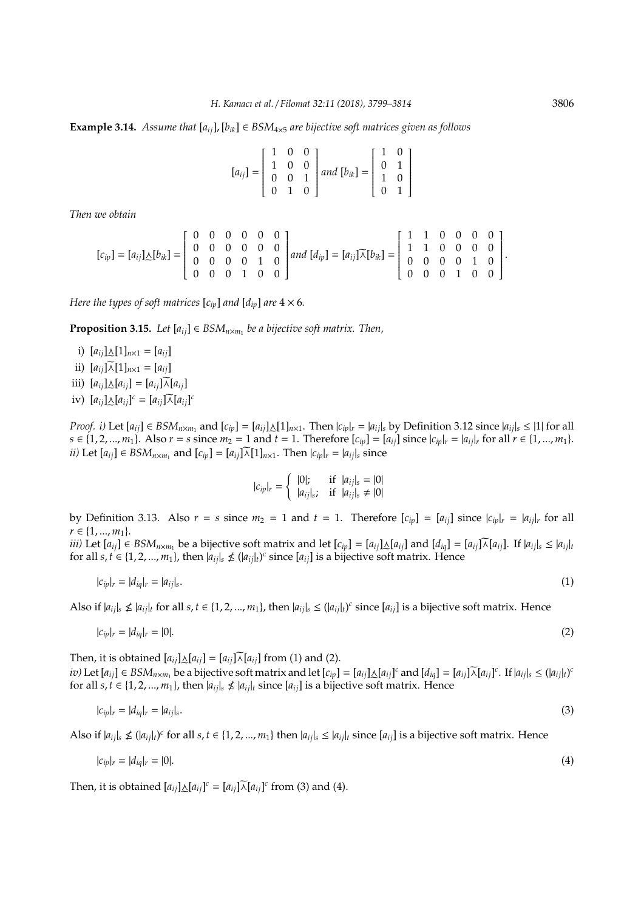**Example 3.14.** *Assume that*  $[a_{ii}]$ ,  $[b_{ik}] \in BSM_{4\times5}$  *are bijective soft matrices given as follows* 

$$
[a_{ij}] = \begin{bmatrix} 1 & 0 & 0 \\ 1 & 0 & 0 \\ 0 & 0 & 1 \\ 0 & 1 & 0 \end{bmatrix} and [b_{ik}] = \begin{bmatrix} 1 & 0 \\ 0 & 1 \\ 1 & 0 \\ 0 & 1 \end{bmatrix}
$$

*Then we obtain*

$$
[c_{ip}] = [a_{ij}] \triangle [b_{ik}] = \begin{bmatrix} 0 & 0 & 0 & 0 & 0 & 0 \\ 0 & 0 & 0 & 0 & 0 & 0 \\ 0 & 0 & 0 & 0 & 1 & 0 \\ 0 & 0 & 0 & 1 & 0 & 0 \end{bmatrix} and [d_{ip}] = [a_{ij}] \widetilde{\wedge} [b_{ik}] = \begin{bmatrix} 1 & 1 & 0 & 0 & 0 & 0 \\ 1 & 1 & 0 & 0 & 0 & 0 \\ 0 & 0 & 0 & 0 & 1 & 0 \\ 0 & 0 & 0 & 1 & 0 & 0 \end{bmatrix}.
$$

*Here the types of soft matrices*  $[c_{in}]$  *and*  $[d_{in}]$  *are*  $4 \times 6$ *.* 

**Proposition 3.15.** *Let*  $[a_{ij}] \in BSM$ <sub>*n*×*m*<sub>1</sub></sub> *be a bijective soft matrix. Then,* 

i)  $[a_{ij}] \triangle [1]_{n \times 1} = [a_{ij}]$ ii)  $[a_{ij}]\widetilde{\wedge}[1]_{n\times 1} = [a_{ij}]$ iii)  $[a_{ij}]\triangle[a_{ij}] = [a_{ij}]\widetilde{\wedge}[a_{ij}]$ iv)  $[a_{ij}] \triangle [a_{ij}]^c = [a_{ij}] \overline{\wedge} [a_{ij}]^c$ 

*Proof. i)* Let  $[a_{ij}] \in BSM_{n \times m_1}$  and  $[c_{ip}] = [a_{ij}] \triangle [1]_{n \times 1}$ . Then  $|c_{ip}|_r = |a_{ij}|_s$  by Definition 3.12 since  $|a_{ij}|_s \le |1|$  for all  $s \in \{1, 2, ..., m_1\}$ . Also  $r = s$  since  $m_2 = 1$  and  $t = 1$ . Therefore  $[c_{ip}] = [a_{ij}]$  since  $|c_{ip}|_r = |a_{ij}|_r$  for all  $r \in \{1, ..., m_1\}$ . *ii)* Let  $[a_{ij}] \in BSM_{n \times m_1}$  and  $[c_{ip}] = [a_{ij}] \widetilde{\wedge} [1]_{n \times 1}$ . Then  $|c_{ip}|_r = |a_{ij}|_s$  since

$$
|c_{ip}|_{r} = \begin{cases} |0|; & \text{if } |a_{ij}|_{s} = |0| \\ |a_{ij}|_{s}; & \text{if } |a_{ij}|_{s} \neq |0| \end{cases}
$$

by Definition 3.13. Also  $r = s$  since  $m_2 = 1$  and  $t = 1$ . Therefore  $[c_{ip}] = [a_{ij}]$  since  $|c_{ip}|_r = |a_{ij}|_r$  for all  $r \in \{1, ..., m_1\}.$ 

iii) Let  $[a_{ij}] \in BSM_{n \times m_1}$  be a bijective soft matrix and let  $[c_{ip}] = [a_{ij}] \triangle [a_{ij}]$  and  $[d_{iq}] = [a_{ij}] \overline{\wedge } [a_{ij}]$ . If  $|a_{ij}|_s \le |a_{ij}|_t$ for all *s*, *t*  $\in$  {1, 2, ..., *m*<sub>1</sub>}, then  $|a_{ij}|$ <sub>*s*</sub>  $\nle$   $(|a_{ij}|$ <sub>*t*</sub> $)$ <sup>*c*</sup> since  $[a_{ij}]$  is a bijective soft matrix. Hence

$$
|c_{ip}|_r = |d_{iq}|_r = |a_{ij}|_s. \tag{1}
$$

Also if  $|a_{ij}|$ ,  $\nleq |a_{ij}|$  for all  $s, t \in \{1, 2, ..., m_1\}$ , then  $|a_{ij}|$ ,  $\leq (|a_{ij}|)$  since  $[a_{ij}]$  is a bijective soft matrix. Hence

$$
|c_{ip}|_r = |d_{iq}|_r = |0|.\tag{2}
$$

Then, it is obtained  $[a_{ij}]\triangle[a_{ij}] = [a_{ij}]\overline{\wedge}[a_{ij}]$  from (1) and (2). iv) Let  $[a_{ij}] \in BSM_{n \times m_1}$  be a bijective soft matrix and let  $[c_{ip}] = [a_{ij}] \triangle [a_{ij}]^c$  and  $[d_{iq}] = [a_{ij}] \overline{\wedge} [a_{ij}]^c$ . If  $|a_{ij}|_s \leq (|a_{ij}|_t)^c$ for all  $s, t \in \{1, 2, ..., m_1\}$ , then  $|a_{ij}|$ ,  $\nleq |a_{ij}|$  since  $[a_{ij}]$  is a bijective soft matrix. Hence

$$
|c_{ip}|_r = |d_{iq}|_r = |a_{ij}|_s. \tag{3}
$$

Also if  $|a_{ij}|_s \nleq (|a_{ij}|_t)^c$  for all  $s, t \in \{1, 2, ..., m_1\}$  then  $|a_{ij}|_s \leq |a_{ij}|_t$  since  $[a_{ij}]$  is a bijective soft matrix. Hence

$$
|c_{ip}|_r = |d_{iq}|_r = |0|.\tag{4}
$$

Then, it is obtained  $[a_{ij}] \triangle [a_{ij}]^c = [a_{ij}] \overline{\wedge} [a_{ij}]^c$  from (3) and (4).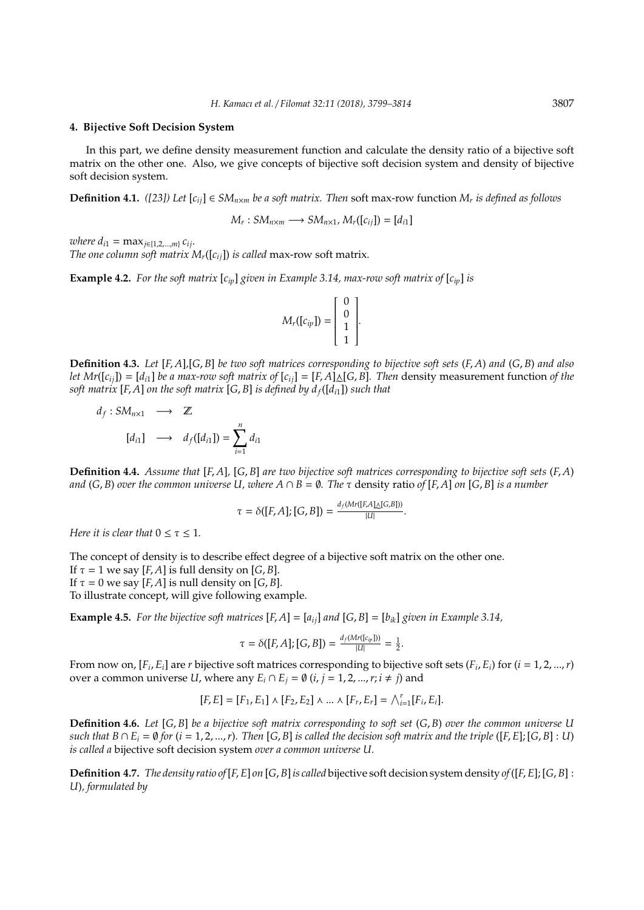#### **4. Bijective Soft Decision System**

In this part, we define density measurement function and calculate the density ratio of a bijective soft matrix on the other one. Also, we give concepts of bijective soft decision system and density of bijective soft decision system.

**Definition 4.1.** *([23])* Let  $[c_{ij}] \in SM_{n \times m}$  be a soft matrix. Then soft max-row function  $M_r$  is defined as follows

$$
M_r:SM_{n\times m}\longrightarrow SM_{n\times 1}, M_r([c_{ij}])=[d_{i1}]
$$

*where*  $d_{i1} = \max_{i \in \{1, 2, \ldots, m\}} c_{i i}$ .

*The one column soft matrix*  $M_r([c_{ij}])$  *is called* max-row soft matrix.

**Example 4.2.** For the soft matrix  $[c_{in}]$  given in Example 3.14, max-row soft matrix of  $[c_{in}]$  is

$$
M_r([c_{ip}]) = \left[\begin{array}{c}0\\0\\1\\1\end{array}\right].
$$

**Definition 4.3.** *Let* [*F*, *A*]*,*[*G*, *B*] *be two soft matrices corresponding to bijective soft sets* (*F*, *A*) *and* (*G*, *B*) *and also let Mr*( $[c_{ij}]$ ) =  $[d_{i1}]$  *be a max-row soft matrix of*  $[c_{ij}]$  =  $[F,A]\triangle [G,B]$ *. Then* density measurement function *of the* e *soft matrix* [*F*, *A*] *on the soft matrix* [*G*, *B*] *is defined by df*([*di*1]) *such that*

$$
d_f: SM_{n\times 1} \longrightarrow \mathbb{Z}
$$

$$
[d_{i1}] \longrightarrow d_f([d_{i1}]) = \sum_{i=1}^n d_{i1}
$$

**Definition 4.4.** *Assume that* [*F*, *A*]*,* [*G*, *B*] *are two bijective soft matrices corresponding to bijective soft sets* (*F*, *A*) *and*  $(G, B)$  *over the common universe* U, where  $A \cap B = \emptyset$ . The  $\tau$  density ratio of  $[F, A]$  *on*  $[G, B]$  *is a number* 

$$
\tau = \delta([F,A];[G,B]) = \frac{d_f(Mr([F,A]\Delta[G,B]))}{|U|}.
$$

*Here it is clear that*  $0 \le \tau \le 1$ *.* 

The concept of density is to describe effect degree of a bijective soft matrix on the other one.

If  $\tau = 1$  we say [*F*, *A*] is full density on [*G*, *B*].

If  $\tau = 0$  we say [*F*, *A*] is null density on [*G*, *B*].

To illustrate concept, will give following example.

**Example 4.5.** For the bijective soft matrices  $[F, A] = [a_{ij}]$  and  $[G, B] = [b_{ik}]$  given in Example 3.14,

$$
\tau=\delta([F,A];[G,B])=\tfrac{d_f(Mr([c_{ip}]))}{|U|}=\tfrac12.
$$

From now on,  $[F_i, E_i]$  are  $r$  bijective soft matrices corresponding to bijective soft sets  $(F_i, E_i)$  for  $(i = 1, 2, ..., r)$ over a common universe *U*, where any  $E_i \cap E_j = \emptyset$  (*i*, *j* = 1, 2, ..., *r*; *i*  $\neq$  *j*) and

$$
[F, E] = [F_1, E_1] \wedge [F_2, E_2] \wedge ... \wedge [F_r, E_r] = \bigwedge_{i=1}^r [F_i, E_i].
$$

**Definition 4.6.** *Let* [*G*, *B*] *be a bijective soft matrix corresponding to soft set* (*G*, *B*) *over the common universe U* such that  $B \cap E_i = \emptyset$  for  $(i = 1, 2, ..., r)$ . Then [G, B] is called the decision soft matrix and the triple ([F, E]; [G, B] : U) *is called a* bijective soft decision system *over a common universe U.*

**Definition 4.7.** *The density ratio of*[*F*, *E*] *on* [*G*, *B*]*is called* bijective soft decision system density *of*([*F*, *E*]; [*G*, *B*] : *U*)*, formulated by*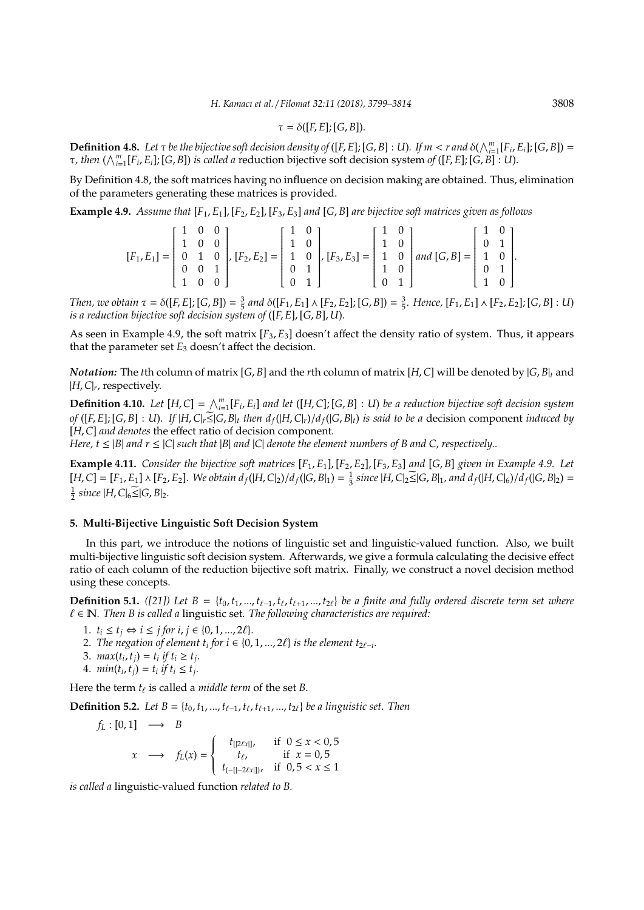$$
\tau = \delta([F, E]; [G, B]).
$$

**Definition 4.8.** Let  $\tau$  be the bijective soft decision density of ([F, E]; [G, B] : U). If  $m < r$  and  $\delta(\bigwedge_{i=1}^{m}[F_i, E_i];$  [G, B]) =  $\tau$ , then  $(\bigwedge_{i=1}^{m}[F_i, E_i]; [G, B])$  is called a reduction bijective soft decision system of ([F, E]; [G, B] : U).

By Definition 4.8, the soft matrices having no influence on decision making are obtained. Thus, elimination of the parameters generating these matrices is provided.

**Example 4.9.** *Assume that* [*F*1, *E*1], [*F*2, *E*2], [*F*3, *E*3] *and* [*G*, *B*] *are bijective soft matrices given as follows*

$$
[F_1, E_1] = \begin{bmatrix} 1 & 0 & 0 \\ 1 & 0 & 0 \\ 0 & 1 & 0 \\ 0 & 0 & 1 \\ 1 & 0 & 0 \end{bmatrix}, [F_2, E_2] = \begin{bmatrix} 1 & 0 \\ 1 & 0 \\ 1 & 0 \\ 0 & 1 \end{bmatrix}, [F_3, E_3] = \begin{bmatrix} 1 & 0 \\ 1 & 0 \\ 1 & 0 \\ 1 & 0 \\ 0 & 1 \end{bmatrix} and [G, B] = \begin{bmatrix} 1 & 0 \\ 0 & 1 \\ 1 & 0 \\ 0 & 1 \end{bmatrix}.
$$

Then, we obtain  $\tau = \delta([F, E]; [G, B]) = \frac{3}{5}$  and  $\delta([F_1, E_1] \wedge [F_2, E_2]; [G, B]) = \frac{3}{5}$ . Hence,  $[F_1, E_1] \wedge [F_2, E_2]; [G, B] : U$ *is a reduction bijective soft decision system of* ([*F*, *E*], [*G*, *B*], *U*)*.*

As seen in Example 4.9, the soft matrix  $[F_3, E_3]$  doesn't affect the density ratio of system. Thus, it appears that the parameter set  $E_3$  doesn't affect the decision.

*Notation:* The *t*th column of matrix [*G*, *B*] and the *r*th column of matrix [*H*,*C*] will be denoted by |*G*, *B*|*<sup>t</sup>* and |*H*,*C*|*<sup>r</sup>* , respectively.

**Definition 4.10.** Let  $[H,C] = \bigwedge_{i=1}^{m} [F_i,E_i]$  and let  $([H,C];[G,B]:U)$  be a reduction bijective soft decision system of ([F, E]; [G, B] : U). If  $|H,C|_r \leq |G,B|_t$  then  $d_f(|H,C|_r)/d_f(|G,B|_t)$  is said to be a decision component induced by [*H*,*C*] *and denotes* the effect ratio of decision component*.*

*Here, t*  $\leq$  |*B*| *and*  $r \leq$  |*C*| *such that* |*B*| *and* |*C*| *denote the element numbers of B and C, respectively..* 

**Example 4.11.** *Consider the bijective soft matrices* [*F*1, *E*1], [*F*2, *E*2], [*F*3, *E*3] *and* [*G*, *B*] *given in Example 4.9. Let*  $[H, C] = [F_1, E_1] \wedge [F_2, E_2]$ . We obtain  $d_f([H, C]_2)/d_f([G, B]_1) = \frac{1}{3}$  since  $[H, C]_2 \leq |G, B]_1$ , and  $d_f([H, C]_6)/d_f([G, B]_2) =$  $\frac{1}{2}$  since  $|H,C|_6 \widetilde{\leq} |G,B|_2$ .

#### **5. Multi-Bijective Linguistic Soft Decision System**

In this part, we introduce the notions of linguistic set and linguistic-valued function. Also, we built multi-bijective linguistic soft decision system. Afterwards, we give a formula calculating the decisive effect ratio of each column of the reduction bijective soft matrix. Finally, we construct a novel decision method using these concepts.

**Definition 5.1.** *([21])* Let  $B = \{t_0, t_1, ..., t_{\ell-1}, t_{\ell}, t_{\ell+1}, ..., t_{2\ell}\}$  be a finite and fully ordered discrete term set where ` ∈ N*. Then B is called a* linguistic set*. The following characteristics are required:*

- 1.  $t_i \le t_j \Leftrightarrow i \le j \text{ for } i, j \in \{0, 1, ..., 2\ell\}.$
- 2. *The negation of element t<sub>i</sub> for i* ∈ {0, 1, ..., 2 $\ell$ } *is the element t*<sub>2 $\ell$ −*i*</sub>.
- 3.  $max(t_i, t_j) = t_i$  if  $t_i \ge t_j$ .
- 4.  $min(t_i, t_j) = t_i \text{ if } t_i \leq t_j.$

Here the term  $t_\ell$  is called a *middle term* of the set *B*.

**Definition 5.2.** *Let B* = { $t_0, t_1, ..., t_{\ell-1}, t_{\ell}, t_{\ell+1}, ..., t_{2\ell}$ } *be a linguistic set. Then* 

$$
f_L: [0,1] \longrightarrow B
$$
  

$$
x \longrightarrow f_L(x) = \begin{cases} t_{[2\ell x]}, & \text{if } 0 \le x < 0,5\\ t_{\ell}, & \text{if } x = 0,5\\ t_{(-[1-2\ell x]])}, & \text{if } 0,5 < x \le 1 \end{cases}
$$

*is called a* linguistic-valued function *related to B.*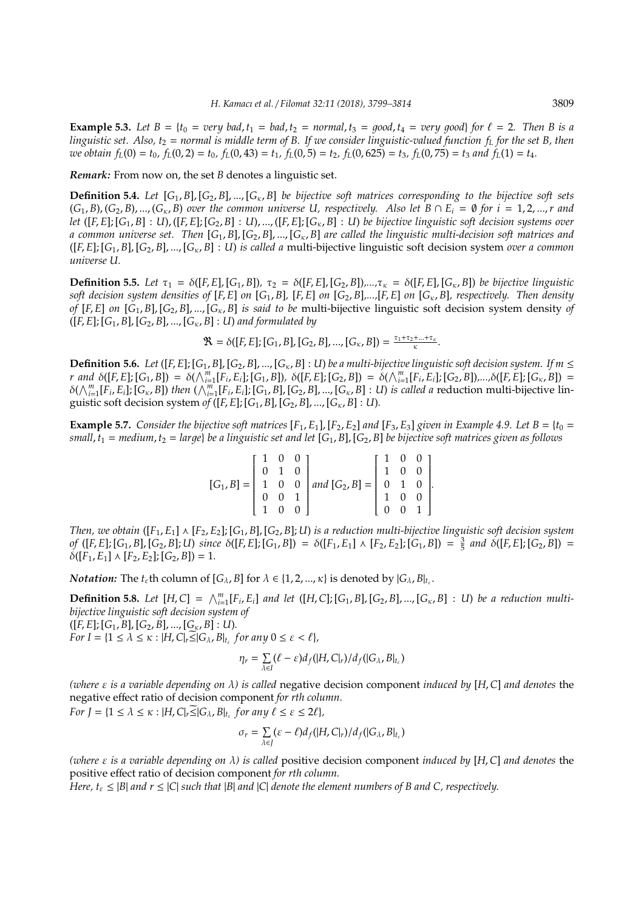**Example 5.3.** Let  $B = \{t_0 = very \ bad, t_1 = bad, t_2 = normal, t_3 = good, t_4 = very \ good\}$  for  $\ell = 2$ . Then B is a *linguistic set. Also,*  $t_2$  *= normal is middle term of B. If we consider linguistic-valued function*  $f_L$  *for the set B, then* we obtain  $f_L(0) = t_0$ ,  $f_L(0, 2) = t_0$ ,  $f_L(0, 43) = t_1$ ,  $f_L(0, 5) = t_2$ ,  $f_L(0, 625) = t_3$ ,  $f_L(0, 75) = t_3$  and  $f_L(1) = t_4$ .

*Remark:* From now on, the set *B* denotes a linguistic set.

**Definition 5.4.** Let  $[G_1, B]$ ,  $[G_2, B]$ , ...,  $[G_K, B]$  be bijective soft matrices corresponding to the bijective soft sets  $(G_1, B), (G_2, B), ..., (G_k, B)$  over the common universe U, respectively. Also let  $B \cap E_i = \emptyset$  for  $i = 1, 2, ..., r$  and let  $([F, E]; [G_1, B] : U), ([F, E]; [G_2, B] : U), ..., ([F, E]; [G_K, B] : U)$  be bijective linguistic soft decision systems over *a common universe set. Then* [*G*1, *B*], [*G*2, *B*], ...,[*G*κ, *B*] *are called the linguistic multi-decision soft matrices and* ([*F*, *E*]; [*G*1, *B*], [*G*2, *B*], ...,[*G*κ, *B*] : *U*) *is called a* multi-bijective linguistic soft decision system *over a common universe U.*

**Definition 5.5.** Let  $\tau_1 = \delta([F, E], [G_1, B])$ ,  $\tau_2 = \delta([F, E], [G_2, B])$ ,..., $\tau_k = \delta([F, E], [G_k, B])$  be bijective linguistic soft decision system densities of [F, E] on [G<sub>1</sub>, B], [F, E] on [G<sub>2</sub>, B],...,[F, E] on [G<sub>K</sub>, B], respectively. Then density *of* [*F*, *E*] *on* [*G*1, *B*], [*G*2, *B*], ...,[*G*κ, *B*] *is said to be* multi-bijective linguistic soft decision system density *of* ([*F*, *E*]; [*G*1, *B*], [*G*2, *B*], ...,[*G*κ, *B*] : *U*) *and formulated by*

 $\mathfrak{R} = \delta([F, E]; [G_1, B], [G_2, B], ..., [G_\kappa, B]) = \frac{\tau_1 + \tau_2 + ... + \tau_\kappa}{\kappa}.$ 

**Definition 5.6.** Let ([F, E]; [G<sub>1</sub>, B], [G<sub>2</sub>, B], ..., [G<sub>к</sub>, B] : U) be a multi-bijective linguistic soft decision system. If  $m \leq$ r and  $\delta([F, E]; [G_1, B]) = \delta(\bigwedge_{i=1}^m [F_i, E_i]; [G_1, B]), \ \delta([F, E]; [G_2, B]) = \delta(\bigwedge_{i=1}^m [F_i, E_i]; [G_2, B]), \dots, \delta([F, E]; [G_{\kappa}, B]) = \delta(\bigwedge_{i=1}^m [F_i, E_i]; [G_2, B])$  $\delta(\bigwedge_{i=1}^m [F_i, E_i]; [G_{\kappa}, B])$  then  $(\bigwedge_{i=1}^m [F_i, E_i]; [G_1, B], [G_2, B], ..., [G_{\kappa}, B] : U)$  is called a reduction multi-bijective linguistic soft decision system of  $([F, E]; [G_1, B], [G_2, B], ..., [G_k, B] : U$ *).* 

**Example 5.7.** *Consider the bijective soft matrices*  $[F_1, E_1]$ ,  $[F_2, E_2]$  *and*  $[F_3, E_3]$  *given in Example 4.9. Let*  $B = \{t_0 =$ *small*,  $t_1$  = *medium*,  $t_2$  = *large*} *be a linguistic set and let* [G<sub>1</sub>, B], [G<sub>2</sub>, B] *be bijective soft matrices given as follows* 

| $\left[\begin{array}{ccc} 1 & 0 & 0 \\ 0 & 1 & 0 \end{array}\right]$ |  |                                                                                                                                                                                                                                                                              |  |  |
|----------------------------------------------------------------------|--|------------------------------------------------------------------------------------------------------------------------------------------------------------------------------------------------------------------------------------------------------------------------------|--|--|
|                                                                      |  |                                                                                                                                                                                                                                                                              |  |  |
|                                                                      |  |                                                                                                                                                                                                                                                                              |  |  |
|                                                                      |  | $\label{eq:G1B} [G_1,B]= \left[ \begin{array}{cccc} 1&0&0\\ 0&1&0\\ 1&0&0\\ 0&0&1\\ 1&0&0 \end{array} \right] and \nonumber \\ \left[ \begin{array}{cccc} G_2,B \end{array} \right] = \left[ \begin{array}{cccc} 1&0&0\\ 1&0&0\\ 0&1&0\\ 1&0&0\\ 0&0&1 \end{array} \right].$ |  |  |

*Then, we obtain*  $([F_1, E_1] \wedge [F_2, E_2]$ ;  $[G_1, B]$ ,  $[G_2, B]$ ; *U) is a reduction multi-bijective linguistic soft decision system* of  $([F, E]; [G_1, B], [G_2, B]; U)$  since  $\delta([F, E]; [G_1, B]) = \delta([F_1, E_1] \wedge [F_2, E_2]; [G_1, B]) = \frac{3}{5}$  and  $\delta([F, E]; [G_2, B]) =$  $\delta([F_1, E_1] \wedge [F_2, E_2]; [G_2, B]) = 1.$ 

*Notation:* The  $t_{\varepsilon}$ th column of  $[G_{\lambda}, B]$  for  $\lambda \in \{1, 2, ..., \kappa\}$  is denoted by  $|G_{\lambda}, B|_{t_{\varepsilon}}$ .

**Definition 5.8.** Let  $[H,C] = \bigwedge_{i=1}^{m} [F_i, E_i]$  and let  $([H,C];[G_1,B],[G_2,B],...,[G_{\kappa},B] : U)$  be a reduction multi*bijective linguistic soft decision system of*

 $([F, E]; [G_1, B], [G_2, B], ..., [G_{\kappa}, B] : U$ . *For I* = { $1 \leq \lambda \leq \kappa$  :  $|H, C|_r \leq |G_{\lambda}, B|_{t_{\varepsilon}}$  *for any*  $0 \leq \varepsilon < \ell$ }*,* 

$$
\eta_r = \sum_{\lambda \in I} (\ell - \varepsilon) d_f(|H, C|_r) / d_f(|G_{\lambda}, B|_{t_{\varepsilon}})
$$

*(where* ε *is a variable depending on* λ*) is called* negative decision component *induced by* [*H*,*C*] *and denotes* the negative effect ratio of decision component *for rth column.*

*For*  $J = \{1 \leq \lambda \leq \kappa : |H, C|_r \leq |G_{\lambda}, B|_{t_{\varepsilon}} \text{ for any } \ell \leq \varepsilon \leq 2\ell\},$ 

$$
\sigma_r = \sum_{\lambda \in J} (\varepsilon - \ell) d_f(|H, C|_r) / d_f(|G_{\lambda}, B|_{t_{\varepsilon}})
$$

*(where* ε *is a variable depending on* λ*) is called* positive decision component *induced by* [*H*,*C*] *and denotes* the positive effect ratio of decision component *for rth column.*

*Here,*  $t_{\varepsilon} \leq |B|$  *and*  $r \leq |C|$  *such that*  $|B|$  *and*  $|C|$  *denote the element numbers of B and C, respectively.*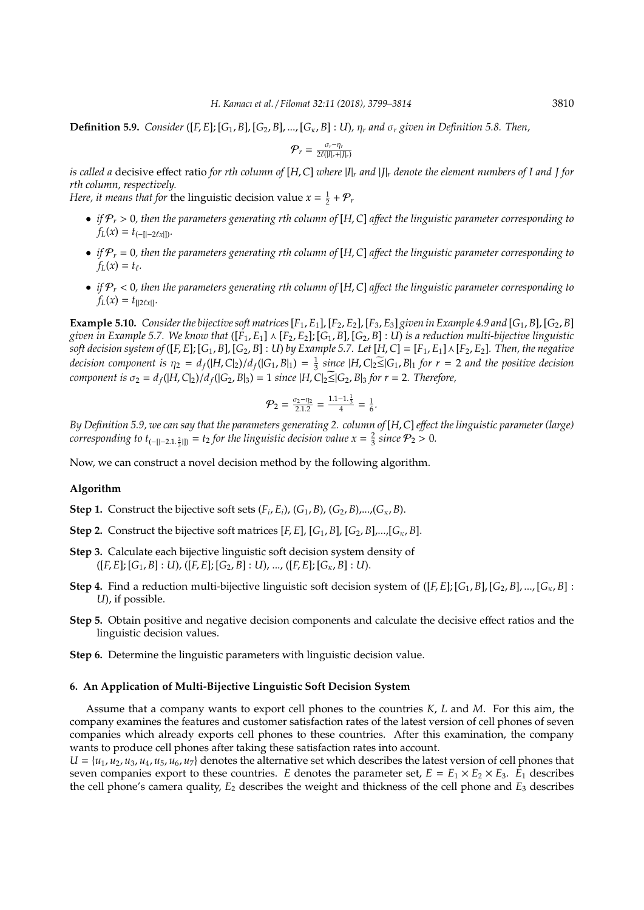**Definition 5.9.** *Consider* ([*F*, *E*]; [*G*<sub>1</sub>, *B*], [*G*<sub>2</sub>, *B*], ..., [*G*<sub>κ</sub>, *B*] : *U*),  $\eta_r$  and  $\sigma_r$  *given in Definition 5.8. Then,* 

$$
\mathcal{P}_r = \frac{\sigma_r - \eta_r}{2\ell(|I|_r + |J|_r)}
$$

*is called a* decisive effect ratio *for rth column of* [*H*,*C*] *where* |*I*|*<sup>r</sup> and* |*J*|*<sup>r</sup> denote the element numbers of I and J for rth column, respectively.*

*Here, it means that for the linguistic decision value*  $x = \frac{1}{2} + P_r$ 

- *if* P*<sup>r</sup>* > 0*, then the parameters generating rth column of* [*H*,*C*] *a*ff*ect the linguistic parameter corresponding to*  $f_L(x) = t_{(-[1-2\ell x]]}$ .
- *if* P*<sup>r</sup>* = 0*, then the parameters generating rth column of* [*H*,*C*] *a*ff*ect the linguistic parameter corresponding to*  $f_L(x) = t_{\ell}$ .
- *if* P*<sup>r</sup>* < 0*, then the parameters generating rth column of* [*H*,*C*] *a*ff*ect the linguistic parameter corresponding to*  $f_L(x) = t_{[2\ell x]}$ .

**Example 5.10.** *Consider the bijective soft matrices*  $[F_1, E_1]$ ,  $[F_2, E_2]$ ,  $[F_3, E_3]$  *given in Example 4.9 and*  $[G_1, B]$ ,  $[G_2, B]$ *given in Example 5.7. We know that*  $([F_1, E_1] \wedge [F_2, E_2]; [G_1, B], [G_2, B] : U$  *is a reduction multi-bijective linguistic* soft decision system of ([F, E]; [G<sub>1</sub>, B], [G<sub>2</sub>, B] : U) by Example 5.7. Let [H, C] = [F<sub>1</sub>, E<sub>1</sub>]  $\wedge$  [F<sub>2</sub>, E<sub>2</sub>]. Then, the negative decision component is  $\eta_2 = d_f(|H, C|_2)/d_f(|G_1, B|_1) = \frac{1}{3}$  since  $|H, C|_2 \leq |G_1, B|_1$  for  $r = 2$  and the positive decision *component is*  $\sigma_2 = d_f(|H, C|_2)/d_f(|G_2, B|_3) = 1$  *since*  $|H, C|_2 \le |G_2, B|_3$  *for*  $r = 2$ *. Therefore,* 

$$
\mathcal{P}_2 = \frac{\sigma_2 - \eta_2}{2.1.2} = \frac{1.1 - 1. \frac{1}{3}}{4} = \frac{1}{6}.
$$

*By Definition 5.9, we can say that the parameters generating 2. column of* [*H*,*C*] *e*ff*ect the linguistic parameter (large) corresponding to*  $t_{(-[]-2.1,\frac{2}{3}])} = t_2$  *for the linguistic decision value*  $x = \frac{2}{3}$  *since*  $\mathcal{P}_2 > 0$ *.* 

Now, we can construct a novel decision method by the following algorithm.

## **Algorithm**

- **Step 1.** Construct the bijective soft sets  $(F_i, E_i)$ ,  $(G_1, B)$ ,  $(G_2, B)$ ,..., $(G_K, B)$ .
- **Step 2.** Construct the bijective soft matrices  $[F, E]$ ,  $[G_1, B]$ ,  $[G_2, B]$ ,...,  $[G_K, B]$ .
- **Step 3.** Calculate each bijective linguistic soft decision system density of  $([F, E]; [G_1, B] : U), ([F, E]; [G_2, B] : U), ..., ([F, E]; [G_{\kappa}, B] : U).$
- **Step 4.** Find a reduction multi-bijective linguistic soft decision system of  $([F, E]; [G_1, B], [G_2, B], ..., [G_{\kappa}, B]$ : *U*), if possible.
- **Step 5.** Obtain positive and negative decision components and calculate the decisive effect ratios and the linguistic decision values.
- **Step 6.** Determine the linguistic parameters with linguistic decision value.

## **6. An Application of Multi-Bijective Linguistic Soft Decision System**

Assume that a company wants to export cell phones to the countries *K*, *L* and *M*. For this aim, the company examines the features and customer satisfaction rates of the latest version of cell phones of seven companies which already exports cell phones to these countries. After this examination, the company wants to produce cell phones after taking these satisfaction rates into account.

 $U = \{u_1, u_2, u_3, u_4, u_5, u_6, u_7\}$  denotes the alternative set which describes the latest version of cell phones that seven companies export to these countries. *E* denotes the parameter set,  $E = E_1 \times E_2 \times E_3$ .  $E_1$  describes the cell phone's camera quality, *E*<sup>2</sup> describes the weight and thickness of the cell phone and *E*<sup>3</sup> describes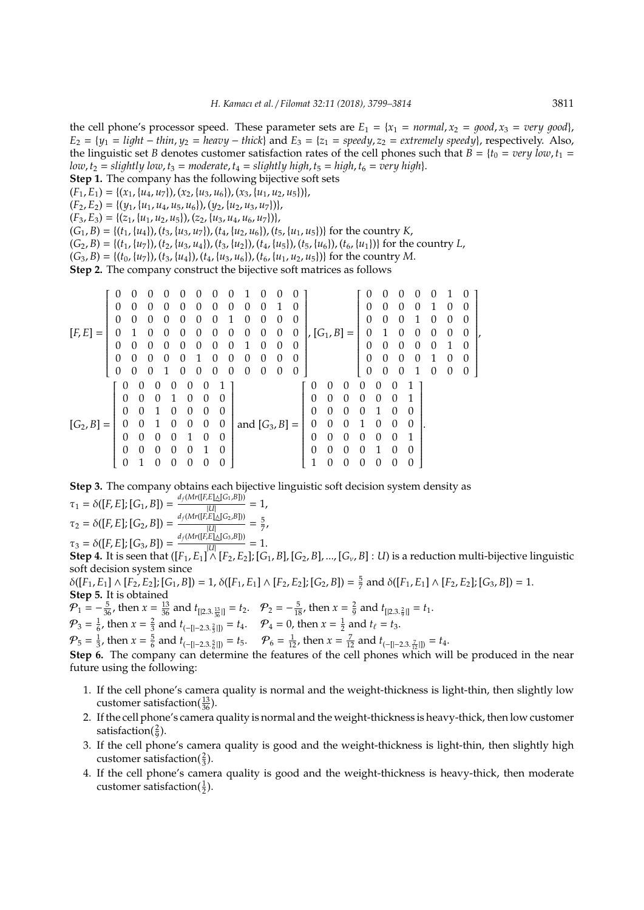the cell phone's processor speed. These parameter sets are  $E_1 = \{x_1 = normal, x_2 = good, x_3 = very good\}$ ,  $E_2 = \{y_1 = light - thin, y_2 = heavy - thick\}$  and  $E_3 = \{z_1 = speedy, z_2 = extremely speedy\}$ , respectively. Also, the linguistic set *B* denotes customer satisfaction rates of the cell phones such that  $\vec{B} = \{t_0 = \text{very low}, t_1 = \text{very low}, t_2 = \text{very low} \}$ *low*,  $t_2$  = *slightly low*,  $t_3$  = *moderate*,  $t_4$  = *slightly high*,  $t_5$  = *high*,  $t_6$  = *very high*}.

- **Step 1.** The company has the following bijective soft sets
- $(F_1, E_1) = \{(x_1, \{u_4, u_7\}), (x_2, \{u_3, u_6\}), (x_3, \{u_1, u_2, u_5\})\},$
- $(F_2, E_2) = \{(y_1, \{u_1, u_4, u_5, u_6\}), (y_2, \{u_2, u_3, u_7\})\},$
- $(F_3, E_3) = \{(z_1, \{u_1, u_2, u_5\}), (z_2, \{u_3, u_4, u_6, u_7\})\},\$

 $(G_1, B) = \{(t_1, \{u_4\}), (t_3, \{u_3, u_7\}), (t_4, \{u_2, u_6\}), (t_5, \{u_1, u_5\})\}$  for the country *K*,

 $(G_2, B) = \{(t_1, \{u_7\}), (t_2, \{u_3, u_4\}), (t_3, \{u_2\}), (t_4, \{u_5\}), (t_5, \{u_6\}), (t_6, \{u_1\})\}$  for the country *L*,

 $(G_3, B) = \{(t_0, \{u_7\}), (t_3, \{u_4\}), (t_4, \{u_3, u_6\}), (t_6, \{u_1, u_2, u_5\})\}$  for the country *M*.

**Step 2.** The company construct the bijective soft matrices as follows

|              | 0                |          |          |                  |                  |              |                  |   |                  |          |          |               |          |                |   | 0        |          |                  |          |   |                  | 0        |  |
|--------------|------------------|----------|----------|------------------|------------------|--------------|------------------|---|------------------|----------|----------|---------------|----------|----------------|---|----------|----------|------------------|----------|---|------------------|----------|--|
|              | 0                | 0        | 0        | $\left( \right)$ | $\left( \right)$ | $\mathbf{0}$ | $\left( \right)$ | 0 | $\left( \right)$ | 0        |          | $\mathcal{O}$ |          |                |   | 0        | 0        | $\mathbf{0}$     | 0        |   |                  | $\Omega$ |  |
|              | 0                | $\Omega$ | $\theta$ |                  | $\mathbf{0}$     | 0            | $\theta$         |   |                  | $\theta$ | $\theta$ | 0             |          |                |   | 0        | $\Omega$ |                  |          | 0 | $\theta$         | 0        |  |
| $[F, E] =$   |                  |          |          |                  | $\theta$         | 0            | $\theta$         | 0 | 0                | 0        | 0        | 0             |          | , $[G_1, B] =$ |   | 0        |          |                  |          | 0 | $\theta$         | $\theta$ |  |
|              | 0                | 0        | 0        | $\left( \right)$ | $\left( \right)$ | 0            | $\Omega$         | 0 |                  | 0        | 0        | 0             |          |                |   | 0        | $\Omega$ | $\mathbf{0}$     | 0        | 0 |                  | $\Omega$ |  |
|              | $\Omega$         | $\Omega$ |          |                  | $\theta$         |              | 0                | 0 | 0                | 0        | 0        | 0             |          |                |   | $\theta$ | 0        | 0                |          |   | $\left( \right)$ | $\theta$ |  |
|              | 0                | 0        | 0        |                  | $\left( \right)$ | $\mathbf{0}$ | 0                | 0 | 0                | 0        | 0        | $\theta$      |          |                |   | $\theta$ | 0        | 0                |          | 0 | $\theta$         | $\theta$ |  |
|              | $\theta$         | 0        |          | 0                | $\mathbf{0}$     |              |                  |   |                  |          |          |               |          |                |   | 0        | 0        | ∩                |          |   |                  |          |  |
|              | 0                | 0        |          |                  | $\theta$         | 0            | $\Omega$         |   |                  |          |          |               | 0        | 0              |   |          | 0        | $\left( \right)$ |          |   |                  |          |  |
|              | 0                | 0        |          |                  | $\theta$         | $\Omega$     | $\theta$         |   |                  |          |          |               | $\theta$ | 0              |   |          |          |                  |          |   |                  |          |  |
| $[G_2, B] =$ | 0                |          |          |                  | 0                | $\Omega$     | $\theta$         |   | and $[G_3, B] =$ |          |          |               |          |                |   |          | $\theta$ |                  | 0        |   |                  |          |  |
|              | $\theta$         | 0        | 0        |                  |                  | $\Omega$     | $\Omega$         |   |                  |          |          |               | $\Omega$ | 0              | 0 | 0        | 0        | $\Omega$         | 1        |   |                  |          |  |
|              | $\theta$         | 0        | 0        | 0                | 0                |              | 0                |   |                  |          |          |               | $\theta$ | 0              |   |          |          | $\left( \right)$ | $\theta$ |   |                  |          |  |
|              | $\boldsymbol{0}$ |          | 0        | 0                | $\theta$         |              | $\Omega$         |   |                  |          |          |               | 1        | 0              | 0 | 0        | 0        |                  | $\Omega$ |   |                  |          |  |

**Step 3.** The company obtains each bijective linguistic soft decision system density as  $\tau_1 = \delta([F, E]; [G_1, B]) = \frac{d_f(Mr([F, E])}{||I||}$ !|<br>I∧l [*G*1,*B*]))  $\frac{22 + 10}{|U|} = 1$ ,  $\tau_2 = \delta([F, E]; [G_2, B]) = \frac{d_f(Mr([F, E])}{|U|}$ !I<br>I∧l [*G*2,*B*])) |*U*| = 5 7 ,  $\tau_3 = \delta([F, E]; [G_3, B]) = \frac{d_f(Mr([F, E] \Delta[G_3, B]))}{|U|}$ **Step 4.** It is seen that  $([F_1, E_1] \wedge [F_2, E_2]$ ;  $[G_1, B]$ ,  $[G_2, B]$ , ...,  $[G_\nu, B] : U$  is a reduction multi-bijective linguistic  $\frac{2(1-0.0+1)}{|U|} = 1.$ soft decision system since

 $\delta([F_1, E_1] \wedge [F_2, E_2]; [G_1, B]) = 1, \delta([F_1, E_1] \wedge [F_2, E_2]; [G_2, B]) = \frac{5}{7}$  and  $\delta([F_1, E_1] \wedge [F_2, E_2]; [G_3, B]) = 1$ .

**Step 5.** It is obtained  $\mathcal{P}_1 = -\frac{5}{36}$ , then  $x = \frac{13}{36}$  and  $t_{[[2.3, \frac{13}{36}]]} = t_2$ .  $\mathcal{P}_2 = -\frac{5}{18}$ , then  $x = \frac{2}{9}$  and  $t_{[[2.3, \frac{2}{9}]]} = t_1$ .

 $\mathcal{P}_3 = \frac{1}{6}$ , then  $x = \frac{2}{3}$  and  $t_{(-[1-2,3,\frac{2}{3}])} = t_4$ .  $\mathcal{P}_4 = 0$ , then  $x = \frac{1}{2}$  and  $t_\ell = t_3$ .

 $\mathcal{P}_5 = \frac{1}{3}$ , then  $x = \frac{5}{6}$  and  $t_{(-[|-2.3.5]_0]} = t_5$ .  $\mathcal{P}_6 = \frac{1}{12}$ , then  $x = \frac{7}{12}$  and  $t_{(-[|-2.3.5]_0]} = t_4$ .

**Step 6.** The company can determine the features of the cell phones which will be produced in the near future using the following:

- 1. If the cell phone's camera quality is normal and the weight-thickness is light-thin, then slightly low customer satisfaction( $\frac{13}{36}$ ).
- 2. If the cell phone's camera quality is normal and the weight-thickness is heavy-thick, then low customer satisfaction( $\frac{2}{9}$ ).
- 3. If the cell phone's camera quality is good and the weight-thickness is light-thin, then slightly high customer satisfaction( $\frac{2}{3}$ ).
- 4. If the cell phone's camera quality is good and the weight-thickness is heavy-thick, then moderate customer satisfaction( $\frac{1}{2}$ ).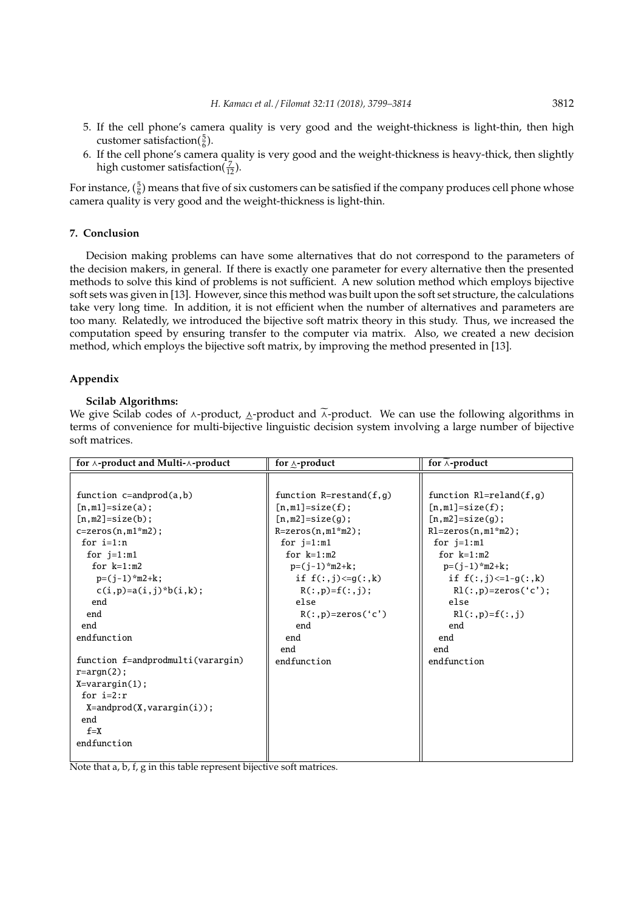- 5. If the cell phone's camera quality is very good and the weight-thickness is light-thin, then high customer satisfaction( $\frac{5}{6}$ ).
- 6. If the cell phone's camera quality is very good and the weight-thickness is heavy-thick, then slightly high customer satisfaction( $\frac{7}{12}$ ).

For instance,  $(\frac{5}{6})$  means that five of six customers can be satisfied if the company produces cell phone whose camera quality is very good and the weight-thickness is light-thin.

# **7. Conclusion**

Decision making problems can have some alternatives that do not correspond to the parameters of the decision makers, in general. If there is exactly one parameter for every alternative then the presented methods to solve this kind of problems is not sufficient. A new solution method which employs bijective soft sets was given in [13]. However, since this method was built upon the soft set structure, the calculations take very long time. In addition, it is not efficient when the number of alternatives and parameters are too many. Relatedly, we introduced the bijective soft matrix theory in this study. Thus, we increased the computation speed by ensuring transfer to the computer via matrix. Also, we created a new decision method, which employs the bijective soft matrix, by improving the method presented in [13].

### **Appendix**

## **Scilab Algorithms:**

We give Scilab codes of  $\lambda$ -product,  $\Delta$ -product and  $\lambda$ -product. We can use the following algorithms in terms of properties of the stimulation of the stimulation of the stimulation of the stimulation of the stimulatio e terms of convenience for multi-bijective linguistic decision system involving a large number of bijective soft matrices.

| for $\land$ -product and Multi- $\land$ -product | for $\Lambda$ -product      | for $\wedge$ -product       |
|--------------------------------------------------|-----------------------------|-----------------------------|
|                                                  |                             |                             |
| function $c=$ andprod $(a,b)$                    | function $R = restand(f,g)$ | function $R1 =$ reland(f,g) |
| $[n,m1]=size(a);$                                | $[n,m1]=size(f);$           | $[n,m1]=size(f);$           |
| $[n,m2] = size(b);$                              | $[n,m2]$ =size(g);          | $[n,m2]=size(q);$           |
| $c = zeros(n, m1*m2);$                           | $R = zeros(n, m1*m2);$      | $Rl = zeros(n, m1*m2);$     |
| for $i=1:n$                                      | for $j=1:m1$                | for $j=1:m1$                |
| for $j=1:m1$                                     | for $k=1:m2$                | for $k=1:m2$                |
| for $k=1:m2$                                     | $p=(j-1)*m2+k;$             | $p=(j-1)*m2+k;$             |
| $p=(j-1)*m2+k;$                                  | if $f(:, i) \leq g(:, k)$   | if $f(:,j) \leq 1 - g(:,k)$ |
| $c(i, p) = a(i, j) * b(i, k);$                   | $R(:, p) = f(:, i)$ ;       | $R1(:, p) = zeros('c');$    |
| end                                              | else                        | else                        |
| end                                              | $R(:, p) = zeros('c')$      | $R1(:, p)=f(:, i)$          |
| end                                              | end                         | end                         |
| endfunction                                      | end                         | end                         |
|                                                  | end                         | end                         |
| function f=andprodmulti(varargin)                | endfunction                 | endfunction                 |
| $r = argn(2)$ :                                  |                             |                             |
| $X=varargin(1);$                                 |                             |                             |
| for $i=2:r$                                      |                             |                             |
| $X = and prod(X, varargin(i));$                  |                             |                             |
| end                                              |                             |                             |
| $f = X$                                          |                             |                             |
| endfunction                                      |                             |                             |
|                                                  |                             |                             |

Note that a, b, f, g in this table represent bijective soft matrices.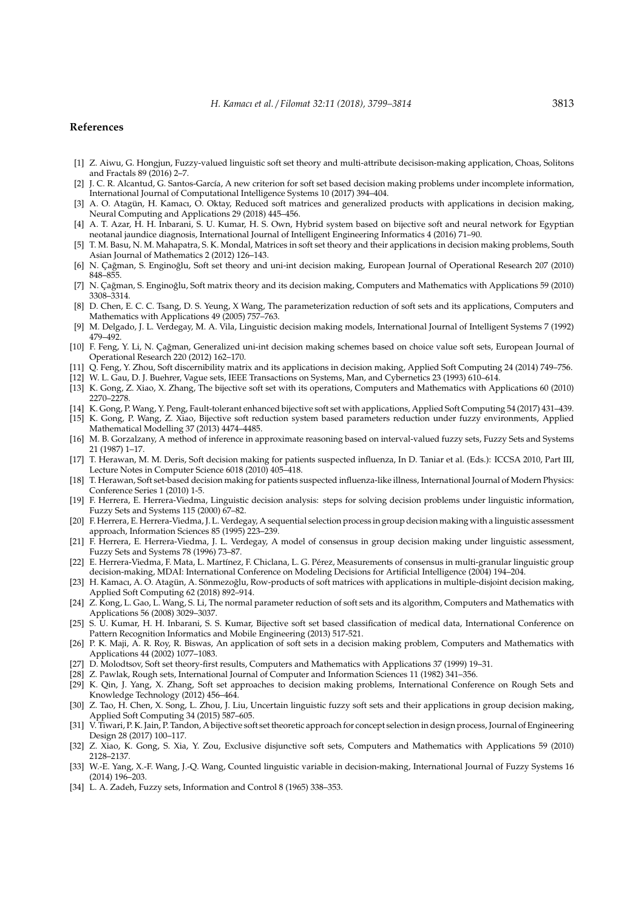#### **References**

- [1] Z. Aiwu, G. Hongjun, Fuzzy-valued linguistic soft set theory and multi-attribute decisison-making application, Choas, Solitons and Fractals 89 (2016) 2–7.
- [2] J. C. R. Alcantud, G. Santos-García, A new criterion for soft set based decision making problems under incomplete information, International Journal of Computational Intelligence Systems 10 (2017) 394–404.
- [3] A. O. Atagün, H. Kamacı, O. Oktay, Reduced soft matrices and generalized products with applications in decision making, Neural Computing and Applications 29 (2018) 445–456.
- [4] A. T. Azar, H. H. Inbarani, S. U. Kumar, H. S. Own, Hybrid system based on bijective soft and neural network for Egyptian neotanal jaundice diagnosis, International Journal of Intelligent Engineering Informatics 4 (2016) 71–90.
- [5] T. M. Basu, N. M. Mahapatra, S. K. Mondal, Matrices in soft set theory and their applications in decision making problems, South Asian Journal of Mathematics 2 (2012) 126–143.
- [6] N. Çağman, S. Enginoğlu, Soft set theory and uni-int decision making, European Journal of Operational Research 207 (2010) 848–855.
- [7] N. Cağman, S. Enginoğlu, Soft matrix theory and its decision making, Computers and Mathematics with Applications 59 (2010) 3308–3314.
- [8] D. Chen, E. C. C. Tsang, D. S. Yeung, X Wang, The parameterization reduction of soft sets and its applications, Computers and Mathematics with Applications 49 (2005) 757–763.
- [9] M. Delgado, J. L. Verdegay, M. A. Vila, Linguistic decision making models, International Journal of Intelligent Systems 7 (1992) 479–492.
- [10] F. Feng, Y. Li, N. Çağman, Generalized uni-int decision making schemes based on choice value soft sets, European Journal of Operational Research 220 (2012) 162–170.
- [11] Q. Feng, Y. Zhou, Soft discernibility matrix and its applications in decision making, Applied Soft Computing 24 (2014) 749–756.
- [12] W. L. Gau, D. J. Buehrer, Vague sets, IEEE Transactions on Systems, Man, and Cybernetics 23 (1993) 610–614.
- [13] K. Gong, Z. Xiao, X. Zhang, The bijective soft set with its operations, Computers and Mathematics with Applications 60 (2010) 2270–2278.
- [14] K. Gong, P. Wang, Y. Peng, Fault-tolerant enhanced bijective soft set with applications, Applied Soft Computing 54 (2017) 431–439.
- [15] K. Gong, P. Wang, Z. Xiao, Bijective soft reduction system based parameters reduction under fuzzy environments, Applied Mathematical Modelling 37 (2013) 4474–4485.
- [16] M. B. Gorzalzany, A method of inference in approximate reasoning based on interval-valued fuzzy sets, Fuzzy Sets and Systems 21 (1987) 1–17.
- [17] T. Herawan, M. M. Deris, Soft decision making for patients suspected influenza, In D. Taniar et al. (Eds.): ICCSA 2010, Part III, Lecture Notes in Computer Science 6018 (2010) 405–418.
- [18] T. Herawan, Soft set-based decision making for patients suspected influenza-like illness, International Journal of Modern Physics: Conference Series 1 (2010) 1-5.
- [19] F. Herrera, E. Herrera-Viedma, Linguistic decision analysis: steps for solving decision problems under linguistic information, Fuzzy Sets and Systems 115 (2000) 67–82.
- [20] F. Herrera, E. Herrera-Viedma, J. L. Verdegay, A sequential selection process in group decision making with a linguistic assessment approach, Information Sciences 85 (1995) 223–239.
- [21] F. Herrera, E. Herrera-Viedma, J. L. Verdegay, A model of consensus in group decision making under linguistic assessment, Fuzzy Sets and Systems 78 (1996) 73–87.
- [22] E. Herrera-Viedma, F. Mata, L. Martínez, F. Chiclana, L. G. Pérez, Measurements of consensus in multi-granular linguistic group decision-making, MDAI: International Conference on Modeling Decisions for Artificial Intelligence (2004) 194–204.
- [23] H. Kamacı, A. O. Atagün, A. Sönmezoğlu, Row-products of soft matrices with applications in multiple-disjoint decision making, Applied Soft Computing 62 (2018) 892–914.
- [24] Z. Kong, L. Gao, L. Wang, S. Li, The normal parameter reduction of soft sets and its algorithm, Computers and Mathematics with Applications 56 (2008) 3029–3037.
- [25] S. U. Kumar, H. H. Inbarani, S. S. Kumar, Bijective soft set based classification of medical data, International Conference on Pattern Recognition Informatics and Mobile Engineering (2013) 517-521.
- [26] P. K. Maji, A. R. Roy, R. Biswas, An application of soft sets in a decision making problem, Computers and Mathematics with Applications 44 (2002) 1077–1083.
- [27] D. Molodtsov, Soft set theory-first results, Computers and Mathematics with Applications 37 (1999) 19–31.
- [28] Z. Pawlak, Rough sets, International Journal of Computer and Information Sciences 11 (1982) 341–356.
- [29] K. Qin, J. Yang, X. Zhang, Soft set approaches to decision making problems, International Conference on Rough Sets and Knowledge Technology (2012) 456–464.
- [30] Z. Tao, H. Chen, X. Song, L. Zhou, J. Liu, Uncertain linguistic fuzzy soft sets and their applications in group decision making, Applied Soft Computing 34 (2015) 587–605.
- [31] V. Tiwari, P. K. Jain, P. Tandon, A bijective soft set theoretic approach for concept selection in design process, Journal of Engineering Design 28 (2017) 100–117.
- [32] Z. Xiao, K. Gong, S. Xia, Y. Zou, Exclusive disjunctive soft sets, Computers and Mathematics with Applications 59 (2010) 2128–2137.
- [33] W.-E. Yang, X.-F. Wang, J.-Q. Wang, Counted linguistic variable in decision-making, International Journal of Fuzzy Systems 16 (2014) 196–203.
- [34] L. A. Zadeh, Fuzzy sets, Information and Control 8 (1965) 338-353.